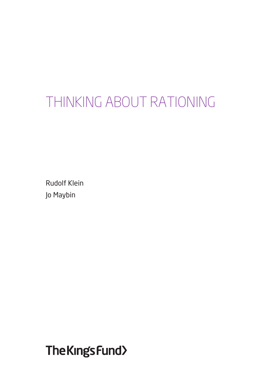# THINKING ABOUT RATIONING

Rudolf Klein Jo Maybin

The Kings Fund>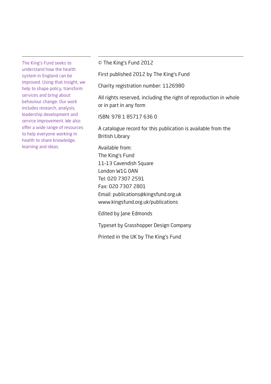The King's Fund seeks to understand how the health system in England can be improved. Using that insight, we help to shape policy, transform services and bring about behaviour change. Our work includes research, analysis, leadership development and service improvement. We also offer a wide range of resources to help everyone working in health to share knowledge, learning and ideas.

© The King's Fund 2012

First published 2012 by The King's Fund

Charity registration number: 1126980

All rights reserved, including the right of reproduction in whole or in part in any form

ISBN: 978 1 85717 636 0

A catalogue record for this publication is available from the British Library

Available from: The King's Fund 11–13 Cavendish Square London W1G 0AN Tel: 020 7307 2591 Fax: 020 7307 2801 Email: publications@kingsfund.org.uk www.kingsfund.org.uk/publications

Edited by Jane Edmonds

Typeset by Grasshopper Design Company

Printed in the UK by The King's Fund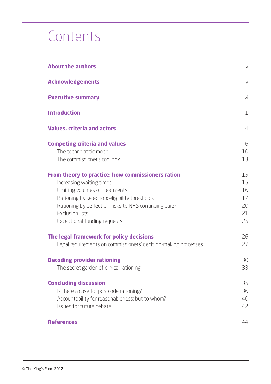# **Contents**

| <b>About the authors</b>                                                                                                                                                                                                                                                              | iv                                     |
|---------------------------------------------------------------------------------------------------------------------------------------------------------------------------------------------------------------------------------------------------------------------------------------|----------------------------------------|
| <b>Acknowledgements</b>                                                                                                                                                                                                                                                               | $\vee$                                 |
| <b>Executive summary</b>                                                                                                                                                                                                                                                              | vi                                     |
| <b>Introduction</b>                                                                                                                                                                                                                                                                   | $\mathbf{1}$                           |
| <b>Values, criteria and actors</b>                                                                                                                                                                                                                                                    | $\overline{4}$                         |
| <b>Competing criteria and values</b><br>The technocratic model<br>The commissioner's tool box                                                                                                                                                                                         | 6<br>10<br>13                          |
| From theory to practice: how commissioners ration<br>Increasing waiting times<br>Limiting volumes of treatments<br>Rationing by selection: eligibility thresholds<br>Rationing by deflection: risks to NHS continuing care?<br><b>Exclusion lists</b><br>Exceptional funding requests | 15<br>15<br>16<br>17<br>20<br>21<br>25 |
| The legal framework for policy decisions<br>Legal requirements on commissioners' decision-making processes                                                                                                                                                                            | 26<br>27                               |
| <b>Decoding provider rationing</b><br>The secret garden of clinical rationing                                                                                                                                                                                                         | 30<br>33                               |
| <b>Concluding discussion</b><br>Is there a case for postcode rationing?<br>Accountability for reasonableness: but to whom?<br>Issues for future debate                                                                                                                                | 35<br>36<br>40<br>42                   |
| <b>References</b>                                                                                                                                                                                                                                                                     | 44                                     |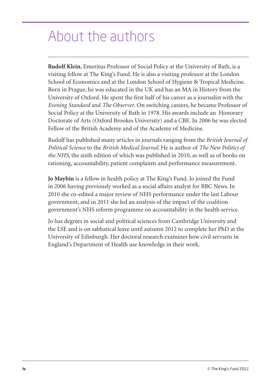## About the authors

**Rudolf Klein**, Emeritus Professor of Social Policy at the University of Bath, is a visiting fellow at The King's Fund. He is also a visiting professor at the London School of Economics and at the London School of Hygiene & Tropical Medicine. Born in Prague, he was educated in the UK and has an MA in History from the University of Oxford. He spent the first half of his career as a journalist with the *Evening Standard* and *The Observer*. On switching careers, he became Professor of Social Policy at the University of Bath in 1978. His awards include an Honorary Doctorate of Arts (Oxford Brookes University) and a CBE. In 2006 he was elected Fellow of the British Academy and of the Academy of Medicine.

Rudolf has published many articles in journals ranging from the *British Journal of Political Science* to the *British Medical Journal*. He is author of *The New Politics of the NHS*, the sixth edition of which was published in 2010, as well as of books on rationing, accountability, patient complaints and performance measurement.

**Jo Maybin** is a fellow in health policy at The King's Fund. Jo joined the Fund in 2006 having previously worked as a social affairs analyst for BBC News. In 2010 she co-edited a major review of NHS performance under the last Labour government, and in 2011 she led an analysis of the impact of the coalition government's NHS reform programme on accountability in the health service.

Jo has degrees in social and political sciences from Cambridge University and the LSE and is on sabbatical leave until autumn 2012 to complete her PhD at the University of Edinburgh. Her doctoral research examines how civil servants in England's Department of Health use knowledge in their work.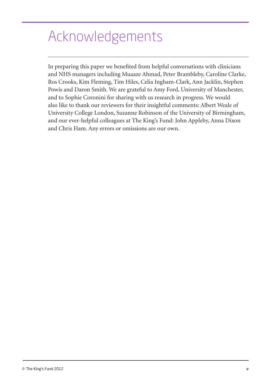## Acknowledgements

In preparing this paper we benefited from helpful conversations with clinicians and NHS managers including Muaaze Ahmad, Peter Brambleby, Caroline Clarke, Ros Crooks, Kim Fleming, Tim Hiles, Celia Ingham-Clark, Ann Jacklin, Stephen Powis and Daron Smith. We are grateful to Amy Ford, University of Manchester, and to Sophie Coronini for sharing with us research in progress. We would also like to thank our reviewers for their insightful comments: Albert Weale of University College London, Suzanne Robinson of the University of Birmingham, and our ever-helpful colleagues at The King's Fund: John Appleby, Anna Dixon and Chris Ham. Any errors or omissions are our own.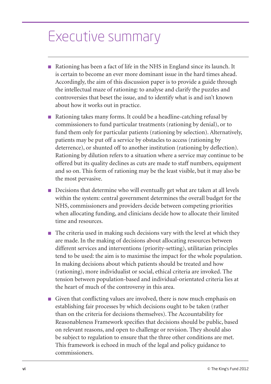## Executive summary

- Rationing has been a fact of life in the NHS in England since its launch. It is certain to become an ever more dominant issue in the hard times ahead. Accordingly, the aim of this discussion paper is to provide a guide through the intellectual maze of rationing: to analyse and clarify the puzzles and controversies that beset the issue, and to identify what is and isn't known about how it works out in practice.
- Rationing takes many forms. It could be a headline-catching refusal by commissioners to fund particular treatments (rationing by denial), or to fund them only for particular patients (rationing by selection). Alternatively, patients may be put off a service by obstacles to access (rationing by deterrence), or shunted off to another institution (rationing by deflection). Rationing by dilution refers to a situation where a service may continue to be offered but its quality declines as cuts are made to staff numbers, equipment and so on. This form of rationing may be the least visible, but it may also be the most pervasive.
- Decisions that determine who will eventually get what are taken at all levels within the system: central government determines the overall budget for the NHS, commissioners and providers decide between competing priorities when allocating funding, and clinicians decide how to allocate their limited time and resources.
- The criteria used in making such decisions vary with the level at which they are made. In the making of decisions about allocating resources between different services and interventions (priority-setting), utilitarian principles tend to be used: the aim is to maximise the impact for the whole population. In making decisions about which patients should be treated and how (rationing), more individualist or social, ethical criteria are invoked. The tension between population-based and individual-orientated criteria lies at the heart of much of the controversy in this area.
- Given that conflicting values are involved, there is now much emphasis on establishing fair processes by which decisions ought to be taken (rather than on the criteria for decisions themselves). The Accountability for Reasonableness Framework specifies that decisions should be public, based on relevant reasons, and open to challenge or revision. They should also be subject to regulation to ensure that the three other conditions are met. This framework is echoed in much of the legal and policy guidance to commissioners.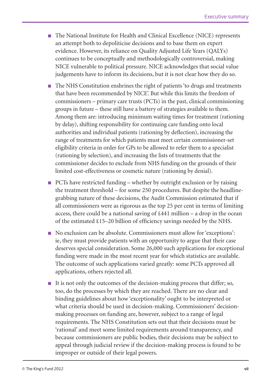- The National Institute for Health and Clinical Excellence (NICE) represents an attempt both to depoliticise decisions and to base them on expert evidence. However, its reliance on Quality Adjusted Life Years (QALYs) continues to be conceptually and methodologically controversial, making NICE vulnerable to political pressure. NICE acknowledges that social value judgements have to inform its decisions, but it is not clear how they do so.
- The NHS Constitution enshrines the right of patients 'to drugs and treatments that have been recommended by NICE'. But while this limits the freedom of commissioners – primary care trusts (PCTs) in the past, clinical commissioning groups in future – these still have a battery of strategies available to them. Among them are: introducing minimum waiting times for treatment (rationing by delay), shifting responsibility for continuing care funding onto local authorities and individual patients (rationing by deflection), increasing the range of treatments for which patients must meet certain commissioner-set eligibility criteria in order for GPs to be allowed to refer them to a specialist (rationing by selection), and increasing the lists of treatments that the commissioner decides to exclude from NHS funding on the grounds of their limited cost-effectiveness or cosmetic nature (rationing by denial).
- PCTs have restricted funding whether by outright exclusion or by raising the treatment threshold – for some 250 procedures. But despite the headlinegrabbing nature of these decisions, the Audit Commission estimated that if all commissioners were as rigorous as the top 25 per cent in terms of limiting access, there could be a national saving of £441 million – a drop in the ocean of the estimated £15–20 billion of efficiency savings needed by the NHS.
- No exclusion can be absolute. Commissioners must allow for 'exceptions': ie, they must provide patients with an opportunity to argue that their case deserves special consideration. Some 26,000 such applications for exceptional funding were made in the most recent year for which statistics are available. The outcome of such applications varied greatly: some PCTs approved all applications, others rejected all.
- It is not only the outcomes of the decision-making process that differ; so, too, do the processes by which they are reached. There are no clear and binding guidelines about how 'exceptionality' ought to be interpreted or what criteria should be used in decision-making. Commissioners' decisionmaking processes on funding are, however, subject to a range of legal requirements. The NHS Constitution sets out that their decisions must be 'rational' and meet some limited requirements around transparency, and because commissioners are public bodies, their decisions may be subject to appeal through judicial review if the decision-making process is found to be improper or outside of their legal powers.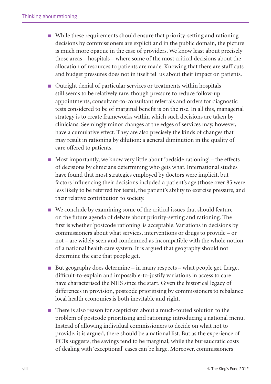- While these requirements should ensure that priority-setting and rationing decisions by commissioners are explicit and in the public domain, the picture is much more opaque in the case of providers. We know least about precisely those areas – hospitals – where some of the most critical decisions about the allocation of resources to patients are made. Knowing that there are staff cuts and budget pressures does not in itself tell us about their impact on patients.
- Outright denial of particular services or treatments within hospitals still seems to be relatively rare, though pressure to reduce follow-up appointments, consultant-to-consultant referrals and orders for diagnostic tests considered to be of marginal benefit is on the rise. In all this, managerial strategy is to create frameworks within which such decisions are taken by clinicians. Seemingly minor changes at the edges of services may, however, have a cumulative effect. They are also precisely the kinds of changes that may result in rationing by dilution: a general diminution in the quality of care offered to patients.
- $\blacksquare$  Most importantly, we know very little about 'bedside rationing' the effects of decisions by clinicians determining who gets what. International studies have found that most strategies employed by doctors were implicit, but factors influencing their decisions included a patient's age (those over 85 were less likely to be referred for tests), the patient's ability to exercise pressure, and their relative contribution to society.
- We conclude by examining some of the critical issues that should feature on the future agenda of debate about priority-setting and rationing. The first is whether 'postcode rationing' is acceptable. Variations in decisions by commissioners about what services, interventions or drugs to provide – or not – are widely seen and condemned as incompatible with the whole notion of a national health care system. It is argued that geography should not determine the care that people get.
- But geography does determine  $-$  in many respects  $-$  what people get. Large, difficult-to-explain and impossible-to-justify variations in access to care have characterised the NHS since the start. Given the historical legacy of differences in provision, postcode prioritising by commissioners to rebalance local health economies is both inevitable and right.
- There is also reason for scepticism about a much-touted solution to the problem of postcode prioritising and rationing: introducing a national menu. Instead of allowing individual commissioners to decide on what not to provide, it is argued, there should be a national list. But as the experience of PCTs suggests, the savings tend to be marginal, while the bureaucratic costs of dealing with 'exceptional' cases can be large. Moreover, commissioners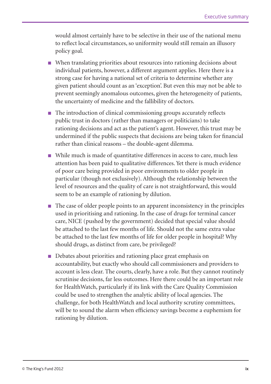would almost certainly have to be selective in their use of the national menu to reflect local circumstances, so uniformity would still remain an illusory policy goal.

- When translating priorities about resources into rationing decisions about individual patients, however, a different argument applies. Here there is a strong case for having a national set of criteria to determine whether any given patient should count as an 'exception'. But even this may not be able to prevent seemingly anomalous outcomes, given the heterogeneity of patients, the uncertainty of medicine and the fallibility of doctors.
- The introduction of clinical commissioning groups accurately reflects public trust in doctors (rather than managers or politicians) to take rationing decisions and act as the patient's agent. However, this trust may be undermined if the public suspects that decisions are being taken for financial rather than clinical reasons – the double-agent dilemma.
- While much is made of quantitative differences in access to care, much less attention has been paid to qualitative differences. Yet there is much evidence of poor care being provided in poor environments to older people in particular (though not exclusively). Although the relationship between the level of resources and the quality of care is not straightforward, this would seem to be an example of rationing by dilution.
- The case of older people points to an apparent inconsistency in the principles used in prioritising and rationing. In the case of drugs for terminal cancer care, NICE (pushed by the government) decided that special value should be attached to the last few months of life. Should not the same extra value be attached to the last few months of life for older people in hospital? Why should drugs, as distinct from care, be privileged?
- Debates about priorities and rationing place great emphasis on accountability, but exactly who should call commissioners and providers to account is less clear. The courts, clearly, have a role. But they cannot routinely scrutinise decisions, far less outcomes. Here there could be an important role for HealthWatch, particularly if its link with the Care Quality Commission could be used to strengthen the analytic ability of local agencies. The challenge, for both HealthWatch and local authority scrutiny committees, will be to sound the alarm when efficiency savings become a euphemism for rationing by dilution.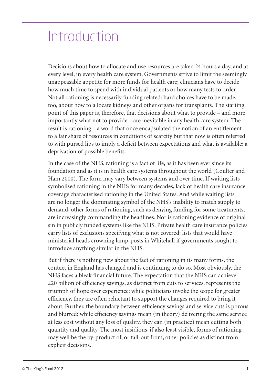## Introduction

Decisions about how to allocate and use resources are taken 24 hours a day, and at every level, in every health care system. Governments strive to limit the seemingly unappeasable appetite for more funds for health care; clinicians have to decide how much time to spend with individual patients or how many tests to order. Not all rationing is necessarily funding related: hard choices have to be made, too, about how to allocate kidneys and other organs for transplants. The starting point of this paper is, therefore, that decisions about what to provide – and more importantly what not to provide – are inevitable in any health care system. The result is rationing – a word that once encapsulated the notion of an entitlement to a fair share of resources in conditions of scarcity but that now is often referred to with pursed lips to imply a deficit between expectations and what is available: a deprivation of possible benefits.

In the case of the NHS, rationing is a fact of life, as it has been ever since its foundation and as it is in health care systems throughout the world (Coulter and Ham 2000). The form may vary between systems and over time. If waiting lists symbolised rationing in the NHS for many decades, lack of health care insurance coverage characterised rationing in the United States. And while waiting lists are no longer the dominating symbol of the NHS's inability to match supply to demand, other forms of rationing, such as denying funding for some treatments, are increasingly commanding the headlines. Nor is rationing evidence of original sin in publicly funded systems like the NHS. Private health care insurance policies carry lists of exclusions specifying what is not covered: lists that would have ministerial heads crowning lamp-posts in Whitehall if governments sought to introduce anything similar in the NHS.

But if there is nothing new about the fact of rationing in its many forms, the context in England has changed and is continuing to do so. Most obviously, the NHS faces a bleak financial future. The expectation that the NHS can achieve £20 billion of efficiency savings, as distinct from cuts to services, represents the triumph of hope over experience: while politicians invoke the scope for greater efficiency, they are often reluctant to support the changes required to bring it about. Further, the boundary between efficiency savings and service cuts is porous and blurred: while efficiency savings mean (in theory) delivering the same service at less cost without any loss of quality, they can (in practice) mean cutting both quantity and quality. The most insidious, if also least visible, forms of rationing may well be the by-product of, or fall-out from, other policies as distinct from explicit decisions.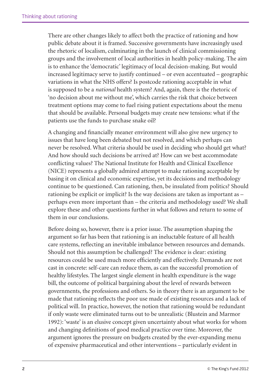There are other changes likely to affect both the practice of rationing and how public debate about it is framed. Successive governments have increasingly used the rhetoric of localism, culminating in the launch of clinical commissioning groups and the involvement of local authorities in health policy-making. The aim is to enhance the 'democratic' legitimacy of local decision-making. But would increased legitimacy serve to justify continued – or even accentuated – geographic variations in what the NHS offers? Is postcode rationing acceptable in what is supposed to be a *national* health system? And, again, there is the rhetoric of 'no decision about me without me', which carries the risk that choice between treatment options may come to fuel rising patient expectations about the menu that should be available. Personal budgets may create new tensions: what if the patients use the funds to purchase snake oil?

A changing and financially meaner environment will also give new urgency to issues that have long been debated but not resolved, and which perhaps can never be resolved. What criteria should be used in deciding who should get what? And how should such decisions be arrived at? How can we best accommodate conflicting values? The National Institute for Health and Clinical Excellence (NICE) represents a globally admired attempt to make rationing acceptable by basing it on clinical and economic expertise, yet its decisions and methodology continue to be questioned. Can rationing, then, be insulated from politics? Should rationing be explicit or implicit? Is the way decisions are taken as important as – perhaps even more important than – the criteria and methodology used? We shall explore these and other questions further in what follows and return to some of them in our conclusions.

Before doing so, however, there is a prior issue. The assumption shaping the argument so far has been that rationing is an ineluctable feature of all health care systems, reflecting an inevitable imbalance between resources and demands. Should not this assumption be challenged? The evidence is clear: existing resources could be used much more efficiently and effectively. Demands are not cast in concrete: self-care can reduce them, as can the successful promotion of healthy lifestyles. The largest single element in health expenditure is the wage bill, the outcome of political bargaining about the level of rewards between governments, the professions and others. So in theory there is an argument to be made that rationing reflects the poor use made of existing resources and a lack of political will. In practice, however, the notion that rationing would be redundant if only waste were eliminated turns out to be unrealistic (Blustein and Marmor 1992): 'waste' is an elusive concept given uncertainty about what works for whom and changing definitions of good medical practice over time. Moreover, the argument ignores the pressure on budgets created by the ever-expanding menu of expensive pharmaceutical and other interventions – particularly evident in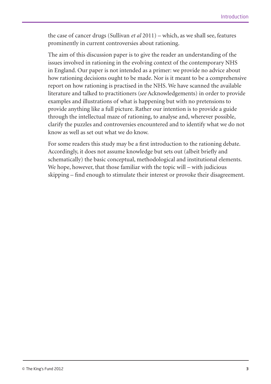the case of cancer drugs (Sullivan *et al* 2011) – which, as we shall see, features prominently in current controversies about rationing.

The aim of this discussion paper is to give the reader an understanding of the issues involved in rationing in the evolving context of the contemporary NHS in England. Our paper is not intended as a primer: we provide no advice about how rationing decisions ought to be made. Nor is it meant to be a comprehensive report on how rationing is practised in the NHS. We have scanned the available literature and talked to practitioners (*see* Acknowledgements) in order to provide examples and illustrations of what is happening but with no pretensions to provide anything like a full picture. Rather our intention is to provide a guide through the intellectual maze of rationing, to analyse and, wherever possible, clarify the puzzles and controversies encountered and to identify what we do not know as well as set out what we do know.

For some readers this study may be a first introduction to the rationing debate. Accordingly, it does not assume knowledge but sets out (albeit briefly and schematically) the basic conceptual, methodological and institutional elements. We hope, however, that those familiar with the topic will – with judicious skipping – find enough to stimulate their interest or provoke their disagreement.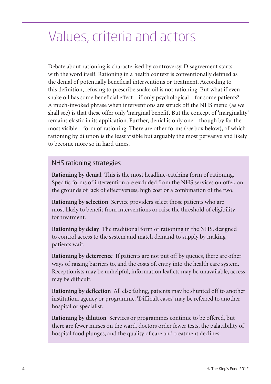# Values, criteria and actors

Debate about rationing is characterised by controversy. Disagreement starts with the word itself. Rationing in a health context is conventionally defined as the denial of potentially beneficial interventions or treatment. According to this definition, refusing to prescribe snake oil is not rationing. But what if even snake oil has some beneficial effect – if only psychological – for some patients? A much-invoked phrase when interventions are struck off the NHS menu (as we shall see) is that these offer only 'marginal benefit'. But the concept of 'marginality' remains elastic in its application. Further, denial is only one – though by far the most visible – form of rationing. There are other forms (*see* box below), of which rationing by dilution is the least visible but arguably the most pervasive and likely to become more so in hard times.

#### NHS rationing strategies

**Rationing by denial** This is the most headline-catching form of rationing. Specific forms of intervention are excluded from the NHS services on offer, on the grounds of lack of effectiveness, high cost or a combination of the two.

**Rationing by selection** Service providers select those patients who are most likely to benefit from interventions or raise the threshold of eligibility for treatment.

**Rationing by delay** The traditional form of rationing in the NHS, designed to control access to the system and match demand to supply by making patients wait.

**Rationing by deterrence** If patients are not put off by queues, there are other ways of raising barriers to, and the costs of, entry into the health care system. Receptionists may be unhelpful, information leaflets may be unavailable, access may be difficult.

**Rationing by deflection** All else failing, patients may be shunted off to another institution, agency or programme. 'Difficult cases' may be referred to another hospital or specialist.

**Rationing by dilution** Services or programmes continue to be offered, but there are fewer nurses on the ward, doctors order fewer tests, the palatability of hospital food plunges, and the quality of care and treatment declines.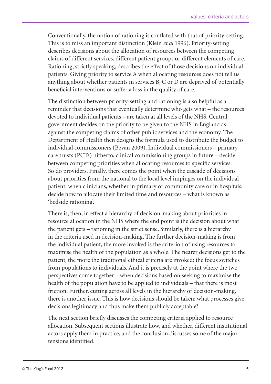Conventionally, the notion of rationing is conflated with that of priority-setting. This is to miss an important distinction (Klein *et al* 1996). Priority-setting describes decisions about the allocation of resources between the competing claims of different services, different patient groups or different elements of care. Rationing, strictly speaking, describes the effect of those decisions on individual patients. Giving priority to service A when allocating resources does not tell us anything about whether patients in services B, C or D are deprived of potentially beneficial interventions or suffer a loss in the quality of care.

The distinction between priority-setting and rationing is also helpful as a reminder that decisions that eventually determine who gets what – the resources devoted to individual patients – are taken at all levels of the NHS. Central government decides on the priority to be given to the NHS in England as against the competing claims of other public services and the economy. The Department of Health then designs the formula used to distribute the budget to individual commissioners (Bevan 2009). Individual commissioners – primary care trusts (PCTs) hitherto, clinical commissioning groups in future – decide between competing priorities when allocating resources to specific services. So do providers. Finally, there comes the point when the cascade of decisions about priorities from the national to the local level impinges on the individual patient: when clinicians, whether in primary or community care or in hospitals, decide how to allocate their limited time and resources – what is known as 'bedside rationing'.

There is, then, in effect a hierarchy of decision-making about priorities in resource allocation in the NHS where the end point is the decision about what the patient gets – rationing in the strict sense. Similarly, there is a hierarchy in the criteria used in decision-making. The further decision-making is from the individual patient, the more invoked is the criterion of using resources to maximise the health of the population as a whole. The nearer decisions get to the patient, the more the traditional ethical criteria are invoked: the focus switches from populations to individuals. And it is precisely at the point where the two perspectives come together – when decisions based on seeking to maximise the health of the population have to be applied to individuals – that there is most friction. Further, cutting across all levels in the hierarchy of decision-making, there is another issue. This is how decisions should be taken: what processes give decisions legitimacy and thus make them publicly acceptable?

The next section briefly discusses the competing criteria applied to resource allocation. Subsequent sections illustrate how, and whether, different institutional actors apply them in practice, and the conclusion discusses some of the major tensions identified.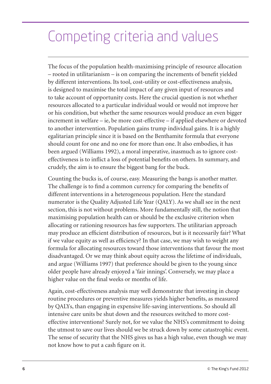# Competing criteria and values

The focus of the population health-maximising principle of resource allocation – rooted in utilitarianism – is on comparing the increments of benefit yielded by different interventions. Its tool, cost-utility or cost-effectiveness analysis, is designed to maximise the total impact of any given input of resources and to take account of opportunity costs. Here the crucial question is not whether resources allocated to a particular individual would or would not improve her or his condition, but whether the same resources would produce an even bigger increment in welfare – ie, be more cost-effective – if applied elsewhere or devoted to another intervention. Population gains trump individual gains. It is a highly egalitarian principle since it is based on the Benthamite formula that everyone should count for one and no one for more than one. It also embodies, it has been argued (Williams 1992), a moral imperative, inasmuch as to ignore costeffectiveness is to inflict a loss of potential benefits on others. In summary, and crudely, the aim is to ensure the biggest bang for the buck.

Counting the bucks is, of course, easy. Measuring the bangs is another matter. The challenge is to find a common currency for comparing the benefits of different interventions in a heterogeneous population. Here the standard numerator is the Quality Adjusted Life Year (QALY). As we shall see in the next section, this is not without problems. More fundamentally still, the notion that maximising population health can or should be the exclusive criterion when allocating or rationing resources has few supporters. The utilitarian approach may produce an efficient distribution of resources, but is it necessarily fair? What if we value equity as well as efficiency? In that case, we may wish to weight any formula for allocating resources toward those interventions that favour the most disadvantaged. Or we may think about equity across the lifetime of individuals, and argue (Williams 1997) that preference should be given to the young since older people have already enjoyed a 'fair innings'. Conversely, we may place a higher value on the final weeks or months of life.

Again, cost-effectiveness analysis may well demonstrate that investing in cheap routine procedures or preventive measures yields higher benefits, as measured by QALYs, than engaging in expensive life-saving interventions. So should all intensive care units be shut down and the resources switched to more costeffective interventions? Surely not, for we value the NHS's commitment to doing the utmost to save our lives should we be struck down by some catastrophic event. The sense of security that the NHS gives us has a high value, even though we may not know how to put a cash figure on it.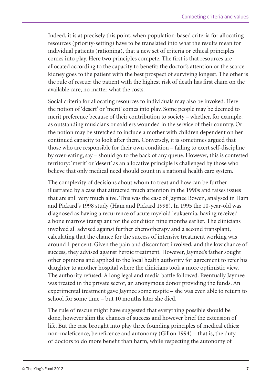Indeed, it is at precisely this point, when population-based criteria for allocating resources (priority-setting) have to be translated into what the results mean for individual patients (rationing), that a new set of criteria or ethical principles comes into play. Here two principles compete. The first is that resources are allocated according to the capacity to benefit: the doctor's attention or the scarce kidney goes to the patient with the best prospect of surviving longest. The other is the rule of rescue: the patient with the highest risk of death has first claim on the available care, no matter what the costs.

Social criteria for allocating resources to individuals may also be invoked. Here the notion of 'desert' or 'merit' comes into play. Some people may be deemed to merit preference because of their contribution to society – whether, for example, as outstanding musicians or soldiers wounded in the service of their country. Or the notion may be stretched to include a mother with children dependent on her continued capacity to look after them. Conversely, it is sometimes argued that those who are responsible for their own condition – failing to exert self-discipline by over-eating, say – should go to the back of any queue. However, this is contested territory: 'merit' or 'desert' as an allocative principle is challenged by those who believe that only medical need should count in a national health care system.

The complexity of decisions about whom to treat and how can be further illustrated by a case that attracted much attention in the 1990s and raises issues that are still very much alive. This was the case of Jaymee Bowen, analysed in Ham and Pickard's 1998 study (Ham and Pickard 1998). In 1995 the 10-year-old was diagnosed as having a recurrence of acute myeloid leukaemia, having received a bone marrow transplant for the condition nine months earlier. The clinicians involved all advised against further chemotherapy and a second transplant, calculating that the chance for the success of intensive treatment working was around 1 per cent. Given the pain and discomfort involved, and the low chance of success, they advised against heroic treatment. However, Jaymee's father sought other opinions and applied to the local health authority for agreement to refer his daughter to another hospital where the clinicians took a more optimistic view. The authority refused. A long legal and media battle followed. Eventually Jaymee was treated in the private sector, an anonymous donor providing the funds. An experimental treatment gave Jaymee some respite – she was even able to return to school for some time – but 10 months later she died.

The rule of rescue might have suggested that everything possible should be done, however slim the chances of success and however brief the extension of life. But the case brought into play three founding principles of medical ethics: non-maleficence, beneficence and autonomy (Gillon 1994) – that is, the duty of doctors to do more benefit than harm, while respecting the autonomy of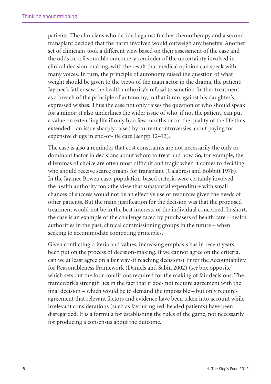patients. The clinicians who decided against further chemotherapy and a second transplant decided that the harm involved would outweigh any benefits. Another set of clinicians took a different view based on their assessment of the case and the odds on a favourable outcome: a reminder of the uncertainty involved in clinical decision-making, with the result that medical opinion can speak with many voices. In turn, the principle of autonomy raised the question of what weight should be given to the views of the main actor in the drama, the patient: Jaymee's father saw the health authority's refusal to sanction further treatment as a breach of the principle of autonomy, in that it ran against his daughter's expressed wishes. Thus the case not only raises the question of who should speak for a minor; it also underlines the wider issue of who, if not the patient, can put a value on extending life if only by a few months or on the quality of the life thus extended – an issue sharply raised by current controversies about paying for expensive drugs in end-of-life care (*see* pp 12–13).

The case is also a reminder that cost constraints are not necessarily the only or dominant factor in decisions about whom to treat and how. So, for example, the dilemmas of choice are often most difficult and tragic when it comes to deciding who should receive scarce organs for transplant (Calabresi and Bobbitt 1978). In the Jaymee Bowen case, population-based criteria were certainly involved: the health authority took the view that substantial expenditure with small chances of success would not be an effective use of resources given the needs of other patients. But the main justification for the decision was that the proposed treatment would not be in the best interests of the individual concerned. In short, the case is an example of the challenge faced by purchasers of health care – health authorities in the past, clinical commissioning groups in the future – when seeking to accommodate competing principles.

Given conflicting criteria and values, increasing emphasis has in recent years been put on the process of decision-making. If we cannot agree on the criteria, can we at least agree on a fair way of reaching decisions? Enter the Accountability for Reasonableness Framework (Daniels and Sabin 2002) (*see* box opposite), which sets out the four conditions required for the making of fair decisions. The framework's strength lies in the fact that it does not require agreement with the final decision – which would be to demand the impossible – but only requires agreement that relevant factors and evidence have been taken into account while irrelevant considerations (such as favouring red-headed patients) have been disregarded. It is a formula for establishing the rules of the game, not necessarily for producing a consensus about the outcome.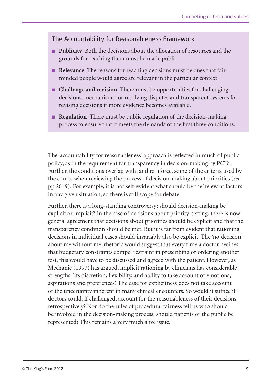#### The Accountability for Reasonableness Framework

- **Publicity** Both the decisions about the allocation of resources and the grounds for reaching them must be made public.
- **Relevance** The reasons for reaching decisions must be ones that fairminded people would agree are relevant in the particular context.
- **Challenge and revision** There must be opportunities for challenging decisions, mechanisms for resolving disputes and transparent systems for revising decisions if more evidence becomes available.
- **Regulation** There must be public regulation of the decision-making process to ensure that it meets the demands of the first three conditions.

The 'accountability for reasonableness' approach is reflected in much of public policy, as in the requirement for transparency in decision-making by PCTs. Further, the conditions overlap with, and reinforce, some of the criteria used by the courts when reviewing the process of decision-making about priorities (*see* pp 26–9). For example, it is not self-evident what should be the 'relevant factors' in any given situation, so there is still scope for debate.

Further, there is a long-standing controversy: should decision-making be explicit or implicit? In the case of decisions about priority-setting, there is now general agreement that decisions about priorities should be explicit and that the transparency condition should be met. But it is far from evident that rationing decisions in individual cases should invariably also be explicit. The 'no decision about me without me' rhetoric would suggest that every time a doctor decides that budgetary constraints compel restraint in prescribing or ordering another test, this would have to be discussed and agreed with the patient. However, as Mechanic (1997) has argued, implicit rationing by clinicians has considerable strengths: 'its discretion, flexibility, and ability to take account of emotions, aspirations and preferences'. The case for explicitness does not take account of the uncertainty inherent in many clinical encounters. So would it suffice if doctors could, if challenged, account for the reasonableness of their decisions retrospectively? Nor do the rules of procedural fairness tell us who should be involved in the decision-making process: should patients or the public be represented? This remains a very much alive issue.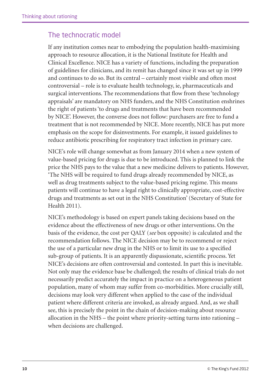## The technocratic model

If any institution comes near to embodying the population health-maximising approach to resource allocation, it is the National Institute for Health and Clinical Excellence. NICE has a variety of functions, including the preparation of guidelines for clinicians, and its remit has changed since it was set up in 1999 and continues to do so. But its central – certainly most visible and often most controversial – role is to evaluate health technology, ie, pharmaceuticals and surgical interventions. The recommendations that flow from these 'technology appraisals' are mandatory on NHS funders, and the NHS Constitution enshrines the right of patients 'to drugs and treatments that have been recommended by NICE'. However, the converse does not follow: purchasers are free to fund a treatment that is not recommended by NICE. More recently, NICE has put more emphasis on the scope for disinvestments. For example, it issued guidelines to reduce antibiotic prescribing for respiratory tract infection in primary care.

NICE's role will change somewhat as from January 2014 when a new system of value-based pricing for drugs is due to be introduced. This is planned to link the price the NHS pays to the value that a new medicine delivers to patients. However, 'The NHS will be required to fund drugs already recommended by NICE, as well as drug treatments subject to the value-based pricing regime. This means patients will continue to have a legal right to clinically appropriate, cost-effective drugs and treatments as set out in the NHS Constitution' (Secretary of State for Health 2011).

NICE's methodology is based on expert panels taking decisions based on the evidence about the effectiveness of new drugs or other interventions. On the basis of the evidence, the cost per QALY (*see* box opposite) is calculated and the recommendation follows. The NICE decision may be to recommend or reject the use of a particular new drug in the NHS or to limit its use to a specified sub-group of patients. It is an apparently dispassionate, scientific process. Yet NICE's decisions are often controversial and contested. In part this is inevitable. Not only may the evidence base be challenged; the results of clinical trials do not necessarily predict accurately the impact in practice on a heterogeneous patient population, many of whom may suffer from co-morbidities. More crucially still, decisions may look very different when applied to the case of the individual patient where different criteria are invoked, as already argued. And, as we shall see, this is precisely the point in the chain of decision-making about resource allocation in the NHS – the point where priority-setting turns into rationing – when decisions are challenged.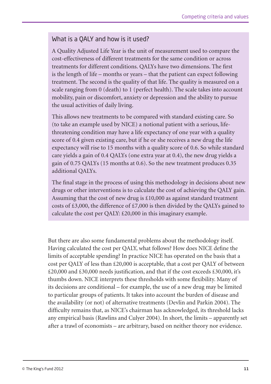### What is a QALY and how is it used?

A Quality Adjusted Life Year is the unit of measurement used to compare the cost-effectiveness of different treatments for the same condition or across treatments for different conditions. QALYs have two dimensions. The first is the length of life – months or years – that the patient can expect following treatment. The second is the quality of that life. The quality is measured on a scale ranging from 0 (death) to 1 (perfect health). The scale takes into account mobility, pain or discomfort, anxiety or depression and the ability to pursue the usual activities of daily living.

This allows new treatments to be compared with standard existing care. So (to take an example used by NICE) a notional patient with a serious, lifethreatening condition may have a life expectancy of one year with a quality score of 0.4 given existing care, but if he or she receives a new drug the life expectancy will rise to 15 months with a quality score of 0.6. So while standard care yields a gain of 0.4 QALYs (one extra year at 0.4), the new drug yields a gain of 0.75 QALYs (15 months at 0.6). So the new treatment produces 0.35 additional QALYs.

The final stage in the process of using this methodology in decisions about new drugs or other interventions is to calculate the cost of achieving the QALY gain. Assuming that the cost of new drug is £10,000 as against standard treatment costs of £3,000, the difference of £7,000 is then divided by the QALYs gained to calculate the cost per QALY: £20,000 in this imaginary example.

But there are also some fundamental problems about the methodology itself. Having calculated the cost per QALY, what follows? How does NICE define the limits of acceptable spending? In practice NICE has operated on the basis that a cost per QALY of less than  $\text{\pounds}20,000$  is acceptable, that a cost per QALY of between £20,000 and £30,000 needs justification, and that if the cost exceeds £30,000, it's thumbs down. NICE interprets these thresholds with some flexibility. Many of its decisions are conditional – for example, the use of a new drug may be limited to particular groups of patients. It takes into account the burden of disease and the availability (or not) of alternative treatments (Devlin and Parkin 2004). The difficulty remains that, as NICE's chairman has acknowledged, its threshold lacks any empirical basis (Rawlins and Culyer 2004). In short, the limits – apparently set after a trawl of economists – are arbitrary, based on neither theory nor evidence.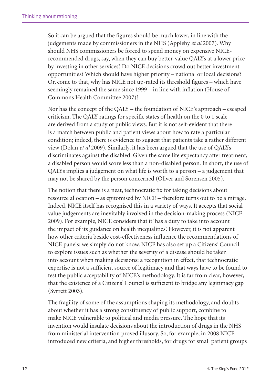So it can be argued that the figures should be much lower, in line with the judgements made by commissioners in the NHS (Appleby *et al* 2007). Why should NHS commissioners be forced to spend money on expensive NICErecommended drugs, say, when they can buy better-value QALYs at a lower price by investing in other services? Do NICE decisions crowd out better investment opportunities? Which should have higher priority – national or local decisions? Or, come to that, why has NICE not up-rated its threshold figures – which have seemingly remained the same since 1999 – in line with inflation (House of Commons Health Committee 2007)?

Nor has the concept of the QALY – the foundation of NICE's approach – escaped criticism. The QALY ratings for specific states of health on the 0 to 1 scale are derived from a study of public views. But it is not self-evident that there is a match between public and patient views about how to rate a particular condition; indeed, there is evidence to suggest that patients take a rather different view (Dolan *et al* 2009). Similarly, it has been argued that the use of QALYs discriminates against the disabled. Given the same life expectancy after treatment, a disabled person would score less than a non-disabled person. In short, the use of QALYs implies a judgement on what life is worth to a person – a judgement that may not be shared by the person concerned (Oliver and Sorensen 2005).

The notion that there is a neat, technocratic fix for taking decisions about resource allocation – as epitomised by NICE – therefore turns out to be a mirage. Indeed, NICE itself has recognised this in a variety of ways. It accepts that social value judgements are inevitably involved in the decision-making process (NICE 2009). For example, NICE considers that it 'has a duty to take into account the impact of its guidance on health inequalities'. However, it is not apparent how other criteria beside cost-effectiveness influence the recommendations of NICE panels: we simply do not know. NICE has also set up a Citizens' Council to explore issues such as whether the severity of a disease should be taken into account when making decisions: a recognition in effect, that technocratic expertise is not a sufficient source of legitimacy and that ways have to be found to test the public acceptability of NICE's methodology. It is far from clear, however, that the existence of a Citizens' Council is sufficient to bridge any legitimacy gap (Syrrett 2003).

The fragility of some of the assumptions shaping its methodology, and doubts about whether it has a strong constituency of public support, combine to make NICE vulnerable to political and media pressure. The hope that its invention would insulate decisions about the introduction of drugs in the NHS from ministerial intervention proved illusory. So, for example, in 2008 NICE introduced new criteria, and higher thresholds, for drugs for small patient groups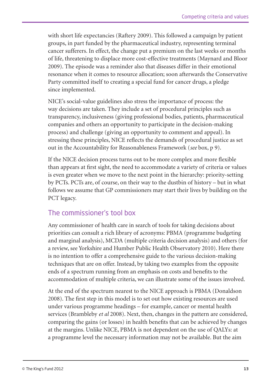with short life expectancies (Raftery 2009). This followed a campaign by patient groups, in part funded by the pharmaceutical industry, representing terminal cancer sufferers. In effect, the change put a premium on the last weeks or months of life, threatening to displace more cost-effective treatments (Maynard and Bloor 2009). The episode was a reminder also that diseases differ in their emotional resonance when it comes to resource allocation; soon afterwards the Conservative Party committed itself to creating a special fund for cancer drugs, a pledge since implemented.

NICE's social-value guidelines also stress the importance of process: the way decisions are taken. They include a set of procedural principles such as transparency, inclusiveness (giving professional bodies, patients, pharmaceutical companies and others an opportunity to participate in the decision-making process) and challenge (giving an opportunity to comment and appeal). In stressing these principles, NICE reflects the demands of procedural justice as set out in the Accountability for Reasonableness Framework (*see* box, p 9).

If the NICE decision process turns out to be more complex and more flexible than appears at first sight, the need to accommodate a variety of criteria or values is even greater when we move to the next point in the hierarchy: priority-setting by PCTs. PCTs are, of course, on their way to the dustbin of history – but in what follows we assume that GP commissioners may start their lives by building on the PCT legacy.

### The commissioner's tool box

Any commissioner of health care in search of tools for taking decisions about priorities can consult a rich library of acronyms: PBMA (programme budgeting and marginal analysis), MCDA (multiple criteria decision analysis) and others (for a review, see Yorkshire and Humber Public Health Observatory 2010). Here there is no intention to offer a comprehensive guide to the various decision-making techniques that are on offer. Instead, by taking two examples from the opposite ends of a spectrum running from an emphasis on costs and benefits to the accommodation of multiple criteria, we can illustrate some of the issues involved.

At the end of the spectrum nearest to the NICE approach is PBMA (Donaldson 2008). The first step in this model is to set out how existing resources are used under various programme headings – for example, cancer or mental health services (Brambleby *et al* 2008). Next, then, changes in the pattern are considered, comparing the gains (or losses) in health benefits that can be achieved by changes at the margins. Unlike NICE, PBMA is not dependent on the use of QALYs: at a programme level the necessary information may not be available. But the aim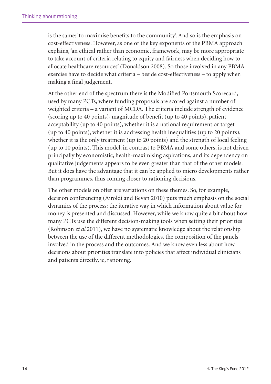is the same: 'to maximise benefits to the community'. And so is the emphasis on cost-effectiveness. However, as one of the key exponents of the PBMA approach explains, 'an ethical rather than economic, framework, may be more appropriate to take account of criteria relating to equity and fairness when deciding how to allocate healthcare resources' (Donaldson 2008). So those involved in any PBMA exercise have to decide what criteria – beside cost-effectiveness – to apply when making a final judgement.

At the other end of the spectrum there is the Modified Portsmouth Scorecard, used by many PCTs, where funding proposals are scored against a number of weighted criteria – a variant of MCDA. The criteria include strength of evidence (scoring up to 40 points), magnitude of benefit (up to 40 points), patient acceptability (up to 40 points), whether it is a national requirement or target (up to 40 points), whether it is addressing health inequalities (up to 20 points), whether it is the only treatment (up to 20 points) and the strength of local feeling (up to 10 points). This model, in contrast to PBMA and some others, is not driven principally by economistic, health-maximising aspirations, and its dependency on qualitative judgements appears to be even greater than that of the other models. But it does have the advantage that it can be applied to micro developments rather than programmes, thus coming closer to rationing decisions.

The other models on offer are variations on these themes. So, for example, decision conferencing (Airoldi and Bevan 2010) puts much emphasis on the social dynamics of the process: the iterative way in which information about value for money is presented and discussed. However, while we know quite a bit about how many PCTs use the different decision-making tools when setting their priorities (Robinson *et al* 2011), we have no systematic knowledge about the relationship between the use of the different methodologies, the composition of the panels involved in the process and the outcomes. And we know even less about how decisions about priorities translate into policies that affect individual clinicians and patients directly, ie, rationing.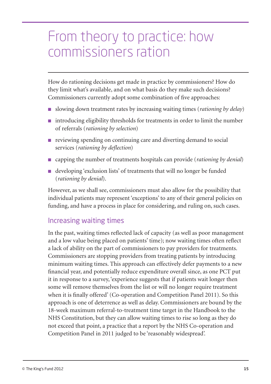## From theory to practice: how commissioners ration

How do rationing decisions get made in practice by commissioners? How do they limit what's available, and on what basis do they make such decisions? Commissioners currently adopt some combination of five approaches:

- slowing down treatment rates by increasing waiting times (*rationing by delay*)
- introducing eligibility thresholds for treatments in order to limit the number of referrals (*rationing by selection*)
- reviewing spending on continuing care and diverting demand to social services (*rationing by deflection*)
- capping the number of treatments hospitals can provide (*rationing by denial*)
- developing 'exclusion lists' of treatments that will no longer be funded (*rationing by denial*).

However, as we shall see, commissioners must also allow for the possibility that individual patients may represent 'exceptions' to any of their general policies on funding, and have a process in place for considering, and ruling on, such cases.

## Increasing waiting times

In the past, waiting times reflected lack of capacity (as well as poor management and a low value being placed on patients' time); now waiting times often reflect a lack of ability on the part of commissioners to pay providers for treatments. Commissioners are stopping providers from treating patients by introducing minimum waiting times. This approach can effectively defer payments to a new financial year, and potentially reduce expenditure overall since, as one PCT put it in response to a survey, 'experience suggests that if patients wait longer then some will remove themselves from the list or will no longer require treatment when it is finally offered' (Co-operation and Competition Panel 2011). So this approach is one of deterrence as well as delay. Commissioners are bound by the 18-week maximum referral-to-treatment time target in the Handbook to the NHS Constitution, but they can allow waiting times to rise so long as they do not exceed that point, a practice that a report by the NHS Co-operation and Competition Panel in 2011 judged to be 'reasonably widespread'.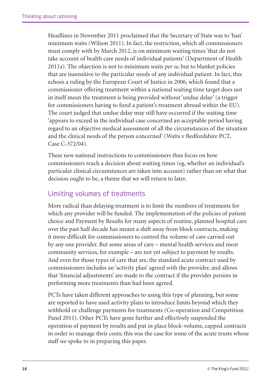Headlines in November 2011 proclaimed that the Secretary of State was to 'ban' minimum waits (Wilson 2011). In fact, the restriction, which all commissioners must comply with by March 2012, is on minimum waiting times 'that do not take account of health care needs of individual patients' (Department of Health 2011a). The objection is not to minimum waits *per se*, but to blanket policies that are insensitive to the particular needs of any individual patient. In fact, this echoes a ruling by the European Court of Justice in 2006, which found that a commissioner offering treatment within a national waiting time target does not in itself mean the treatment is being provided without 'undue delay' (a trigger for commissioners having to fund a patient's treatment abroad within the EU). The court judged that undue delay may still have occurred if the waiting time 'appears to exceed in the individual case concerned an acceptable period having regard to an objective medical assessment of all the circumstances of the situation and the clinical needs of the person concerned' (Watts v Bedfordshire PCT, Case C-372/04).

These new national instructions to commissioners thus focus on how commissioners reach a decision about waiting times (eg, whether an individual's particular clinical circumstances are taken into account) rather than on what that decision ought to be, a theme that we will return to later.

## Limiting volumes of treatments

More radical than delaying treatment is to limit the numbers of treatments for which any provider will be funded. The implementation of the policies of patient choice and Payment by Results for many aspects of routine, planned hospital care over the past half decade has meant a shift away from block contracts, making it more difficult for commissioners to control the volume of care carried out by any one provider. But some areas of care – mental health services and most community services, for example – are not yet subject to payment by results. And even for those types of care that are, the standard acute contract used by commissioners includes an 'activity plan' agreed with the provider, and allows that 'financial adjustments' are made to the contract if the provider persists in performing more treatments than had been agreed.

PCTs have taken different approaches to using this type of planning, but some are reported to have used activity plans to introduce limits beyond which they withhold or challenge payments for treatments (Co-operation and Competition Panel 2011). Other PCTs have gone further and effectively suspended the operation of payment by results and put in place block-volume, capped contracts in order to manage their costs; this was the case for some of the acute trusts whose staff we spoke to in preparing this paper.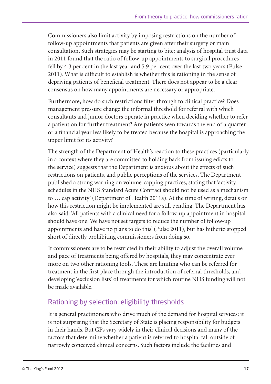Commissioners also limit activity by imposing restrictions on the number of follow-up appointments that patients are given after their surgery or main consultation. Such strategies may be starting to bite: analysis of hospital trust data in 2011 found that the ratio of follow-up appointments to surgical procedures fell by 4.3 per cent in the last year and 5.9 per cent over the last two years (Pulse 2011). What is difficult to establish is whether this is rationing in the sense of depriving patients of beneficial treatment. There does not appear to be a clear consensus on how many appointments are necessary or appropriate.

Furthermore, how do such restrictions filter through to clinical practice? Does management pressure change the informal threshold for referral with which consultants and junior doctors operate in practice when deciding whether to refer a patient on for further treatment? Are patients seen towards the end of a quarter or a financial year less likely to be treated because the hospital is approaching the upper limit for its activity?

The strength of the Department of Health's reaction to these practices (particularly in a context where they are committed to holding back from issuing edicts to the service) suggests that the Department is anxious about the effects of such restrictions on patients, and public perceptions of the services. The Department published a strong warning on volume-capping practices, stating that 'activity schedules in the NHS Standard Acute Contract should not be used as a mechanism to … cap activity' (Department of Health 2011a). At the time of writing, details on how this restriction might be implemented are still pending. The Department has also said: 'All patients with a clinical need for a follow-up appointment in hospital should have one. We have not set targets to reduce the number of follow-up appointments and have no plans to do this' (Pulse 2011), but has hitherto stopped short of directly prohibiting commissioners from doing so.

If commissioners are to be restricted in their ability to adjust the overall volume and pace of treatments being offered by hospitals, they may concentrate ever more on two other rationing tools. These are limiting who can be referred for treatment in the first place through the introduction of referral thresholds, and developing 'exclusion lists' of treatments for which routine NHS funding will not be made available.

## Rationing by selection: eligibility thresholds

It is general practitioners who drive much of the demand for hospital services; it is not surprising that the Secretary of State is placing responsibility for budgets in their hands. But GPs vary widely in their clinical decisions and many of the factors that determine whether a patient is referred to hospital fall outside of narrowly conceived clinical concerns. Such factors include the facilities and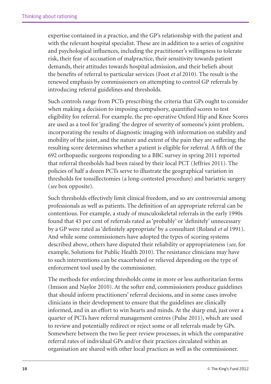expertise contained in a practice, and the GP's relationship with the patient and with the relevant hospital specialist. These are in addition to a series of cognitive and psychological influences, including the practitioner's willingness to tolerate risk, their fear of accusation of malpractice, their sensitivity towards patient demands, their attitudes towards hospital admission, and their beliefs about the benefits of referral to particular services (Foot *et al* 2010). The result is the renewed emphasis by commissioners on attempting to control GP referrals by introducing referral guidelines and thresholds.

Such controls range from PCTs prescribing the criteria that GPs ought to consider when making a decision to imposing compulsory, quantified scores to test eligibility for referral. For example, the pre-operative Oxford Hip and Knee Scores are used as a tool for 'grading' the degree of severity of someone's joint problem, incorporating the results of diagnostic imaging with information on stability and mobility of the joint, and the nature and extent of the pain they are suffering; the resulting score determines whether a patient is eligible for referral. A fifth of the 692 orthopaedic surgeons responding to a BBC survey in spring 2011 reported that referral thresholds had been raised by their local PCT (Jeffries 2011). The policies of half a dozen PCTs serve to illustrate the geographical variation in thresholds for tonsillectomies (a long-contested procedure) and bariatric surgery (*see* box opposite).

Such thresholds effectively limit clinical freedom, and so are controversial among professionals as well as patients. The definition of an appropriate referral can be contentious. For example, a study of musculoskeletal referrals in the early 1990s found that 43 per cent of referrals rated as 'probably' or 'definitely' unnecessary by a GP were rated as 'definitely appropriate' by a consultant (Roland *et al* 1991). And while some commissioners have adopted the types of scoring systems described above, others have disputed their reliability or appropriateness (*see*, for example, Solutions for Public Health 2010). The resistance clinicians may have to such interventions can be exacerbated or relieved depending on the type of enforcement tool used by the commissioner.

The methods for enforcing thresholds come in more or less authoritarian forms (Imison and Naylor 2010). At the softer end, commissioners produce guidelines that should inform practitioners' referral decisions, and in some cases involve clinicians in their development to ensure that the guidelines are clinically informed, and in an effort to win hearts and minds. At the sharp end, just over a quarter of PCTs have referral management centres (Pulse 2011), which are used to review and potentially redirect or reject some or all referrals made by GPs. Somewhere between the two lie peer review processes, in which the comparative referral rates of individual GPs and/or their practices circulated within an organisation are shared with other local practices as well as the commissioner.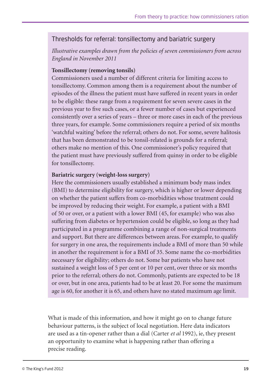#### Thresholds for referral: tonsillectomy and bariatric surgery

*Illustrative examples drawn from the policies of seven commissioners from across England in November 2011*

#### **Tonsillectomy (removing tonsils)**

Commissioners used a number of different criteria for limiting access to tonsillectomy. Common among them is a requirement about the number of episodes of the illness the patient must have suffered in recent years in order to be eligible: these range from a requirement for seven severe cases in the previous year to five such cases, or a fewer number of cases but experienced consistently over a series of years – three or more cases in each of the previous three years, for example. Some commissioners require a period of six months 'watchful waiting' before the referral; others do not. For some, severe halitosis that has been demonstrated to be tonsil-related is grounds for a referral; others make no mention of this. One commissioner's policy required that the patient must have previously suffered from quinsy in order to be eligible for tonsillectomy.

#### **Bariatric surgery (weight-loss surgery)**

Here the commissioners usually established a minimum body mass index (BMI) to determine eligibility for surgery, which is higher or lower depending on whether the patient suffers from co-morbidities whose treatment could be improved by reducing their weight. For example, a patient with a BMI of 50 or over, or a patient with a lower BMI (45, for example) who was also suffering from diabetes or hypertension could be eligible, so long as they had participated in a programme combining a range of non-surgical treatments and support. But there are differences between areas. For example, to qualify for surgery in one area, the requirements include a BMI of more than 50 while in another the requirement is for a BMI of 35. Some name the co-morbidities necessary for eligibility; others do not. Some bar patients who have not sustained a weight loss of 5 per cent or 10 per cent, over three or six months prior to the referral; others do not. Commonly, patients are expected to be 18 or over, but in one area, patients had to be at least 20. For some the maximum age is 60, for another it is 65, and others have no stated maximum age limit.

What is made of this information, and how it might go on to change future behaviour patterns, is the subject of local negotiation. Here data indicators are used as a tin-opener rather than a dial (Carter *et al* 1992), ie, they present an opportunity to examine what is happening rather than offering a precise reading.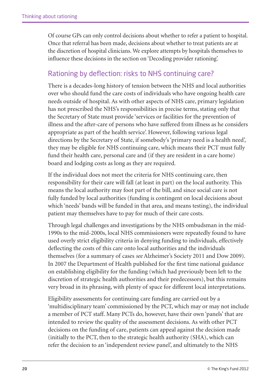Of course GPs can only control decisions about whether to refer a patient to hospital. Once that referral has been made, decisions about whether to treat patients are at the discretion of hospital clinicians. We explore attempts by hospitals themselves to influence these decisions in the section on 'Decoding provider rationing'.

### Rationing by deflection: risks to NHS continuing care?

There is a decades-long history of tension between the NHS and local authorities over who should fund the care costs of individuals who have ongoing health care needs outside of hospital. As with other aspects of NHS care, primary legislation has not prescribed the NHS's responsibilities in precise terms, stating only that the Secretary of State must provide 'services or facilities for the prevention of illness and the after-care of persons who have suffered from illness as he considers appropriate as part of the health service'. However, following various legal directions by the Secretary of State, if somebody's 'primary need is a health need', they may be eligible for NHS continuing care, which means their PCT must fully fund their health care, personal care and (if they are resident in a care home) board and lodging costs as long as they are required.

If the individual does not meet the criteria for NHS continuing care, then responsibility for their care will fall (at least in part) on the local authority. This means the local authority may foot part of the bill, and since social care is not fully funded by local authorities (funding is contingent on local decisions about which 'needs' bands will be funded in that area, and means testing), the individual patient may themselves have to pay for much of their care costs.

Through legal challenges and investigations by the NHS ombudsman in the mid-1990s to the mid-2000s, local NHS commissioners were repeatedly found to have used overly strict eligibility criteria in denying funding to individuals, effectively deflecting the costs of this care onto local authorities and the individuals themselves (for a summary of cases *see* Alzheimer's Society 2011 and Dow 2009). In 2007 the Department of Health published for the first time national guidance on establishing eligibility for the funding (which had previously been left to the discretion of strategic health authorities and their predecessors), but this remains very broad in its phrasing, with plenty of space for different local interpretations.

Eligibility assessments for continuing care funding are carried out by a 'multidisciplinary team' commissioned by the PCT, which may or may not include a member of PCT staff. Many PCTs do, however, have their own 'panels' that are intended to review the quality of the assessment decisions. As with other PCT decisions on the funding of care, patients can appeal against the decision made (initially to the PCT, then to the strategic health authority (SHA), which can refer the decision to an 'independent review panel', and ultimately to the NHS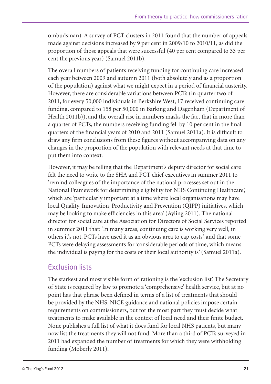ombudsman). A survey of PCT clusters in 2011 found that the number of appeals made against decisions increased by 9 per cent in 2009/10 to 2010/11, as did the proportion of those appeals that were successful (40 per cent compared to 33 per cent the previous year) (Samuel 2011b).

The overall numbers of patients receiving funding for continuing care increased each year between 2009 and autumn 2011 (both absolutely and as a proportion of the population) against what we might expect in a period of financial austerity. However, there are considerable variations between PCTs (in quarter two of 2011, for every 50,000 individuals in Berkshire West, 17 received continuing care funding, compared to 158 per 50,000 in Barking and Dagenham (Department of Health 2011b)), and the overall rise in numbers masks the fact that in more than a quarter of PCTs, the numbers receiving funding fell by 10 per cent in the final quarters of the financial years of 2010 and 2011 (Samuel 2011a). It is difficult to draw any firm conclusions from these figures without accompanying data on any changes in the proportion of the population with relevant needs at that time to put them into context.

However, it may be telling that the Department's deputy director for social care felt the need to write to the SHA and PCT chief executives in summer 2011 to 'remind colleagues of the importance of the national processes set out in the National Framework for determining eligibility for NHS Continuing Healthcare', which are 'particularly important at a time where local organisations may have local Quality, Innovation, Productivity and Prevention (QIPP) initiatives, which may be looking to make efficiencies in this area' (Ayling 2011). The national director for social care at the Association for Directors of Social Services reported in summer 2011 that: 'In many areas, continuing care is working very well, in others it's not. PCTs have used it as an obvious area to cap costs', and that some PCTs were delaying assessments for 'considerable periods of time, which means the individual is paying for the costs or their local authority is' (Samuel 2011a).

## Exclusion lists

The starkest and most visible form of rationing is the 'exclusion list'. The Secretary of State is required by law to promote a 'comprehensive' health service, but at no point has that phrase been defined in terms of a list of treatments that should be provided by the NHS. NICE guidance and national policies impose certain requirements on commissioners, but for the most part they must decide what treatments to make available in the context of local need and their finite budget. None publishes a full list of what it does fund for local NHS patients, but many now list the treatments they will not fund. More than a third of PCTs surveyed in 2011 had expanded the number of treatments for which they were withholding funding (Moberly 2011).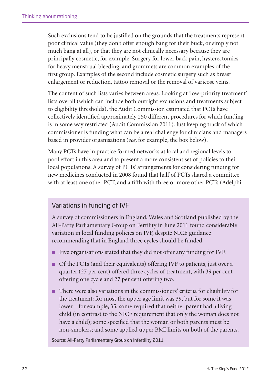Such exclusions tend to be justified on the grounds that the treatments represent poor clinical value (they don't offer enough bang for their buck, or simply not much bang at all), or that they are not clinically necessary because they are principally cosmetic, for example. Surgery for lower back pain, hysterectomies for heavy menstrual bleeding, and grommets are common examples of the first group. Examples of the second include cosmetic surgery such as breast enlargement or reduction, tattoo removal or the removal of varicose veins.

The content of such lists varies between areas. Looking at 'low-priority treatment' lists overall (which can include both outright exclusions and treatments subject to eligibility thresholds), the Audit Commission estimated that PCTs have collectively identified approximately 250 different procedures for which funding is in some way restricted (Audit Commission 2011). Just keeping track of which commissioner is funding what can be a real challenge for clinicians and managers based in provider organisations (*see*, for example, the box below).

Many PCTs have in practice formed networks at local and regional levels to pool effort in this area and to present a more consistent set of policies to their local populations. A survey of PCTs' arrangements for considering funding for new medicines conducted in 2008 found that half of PCTs shared a committee with at least one other PCT, and a fifth with three or more other PCTs (Adelphi

#### Variations in funding of IVF

A survey of commissioners in England, Wales and Scotland published by the All-Party Parliamentary Group on Fertility in June 2011 found considerable variation in local funding policies on IVF, despite NICE guidance recommending that in England three cycles should be funded.

- Five organisations stated that they did not offer any funding for IVF.
- Of the PCTs (and their equivalents) offering IVF to patients, just over a quarter (27 per cent) offered three cycles of treatment, with 39 per cent offering one cycle and 27 per cent offering two.
- There were also variations in the commissioners' criteria for eligibility for the treatment: for most the upper age limit was 39, but for some it was lower – for example, 35; some required that neither parent had a living child (in contrast to the NICE requirement that only the woman does not have a child); some specified that the woman or both parents must be non-smokers; and some applied upper BMI limits on both of the parents.

Source: All-Party Parliamentary Group on Infertility 2011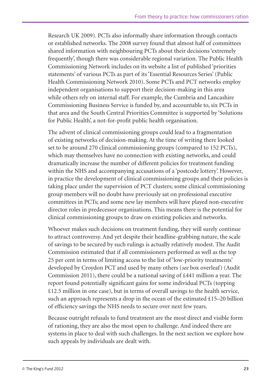Research UK 2009). PCTs also informally share information through contacts or established networks. The 2008 survey found that almost half of committees shared information with neighbouring PCTs about their decisions 'extremely frequently', though there was considerable regional variation. The Public Health Commissioning Network includes on its website a list of published 'priorities statements' of various PCTs as part of its 'Essential Resources Series' (Public Health Commissioning Network 2010). Some PCTs and PCT networks employ independent organisations to support their decision-making in this area while others rely on internal staff. For example, the Cumbria and Lancashire Commissioning Business Service is funded by, and accountable to, six PCTs in that area and the South Central Priorities Committee is supported by 'Solutions for Public Health', a not-for-profit public health organisation.

The advent of clinical commissioning groups could lead to a fragmentation of existing networks of decision-making. At the time of writing there looked set to be around 270 clinical commissioning groups (compared to 152 PCTs), which may themselves have no connection with existing networks, and could dramatically increase the number of different policies for treatment funding within the NHS and accompanying accusations of a 'postcode lottery'. However, in practice the development of clinical commissioning groups and their policies is taking place under the supervision of PCT clusters; some clinical commissioning group members will no doubt have previously sat on professional executive committees in PCTs; and some new lay members will have played non-executive director roles in predecessor organisations. This means there is the potential for clinical commissioning groups to draw on existing policies and networks.

Whoever makes such decisions on treatment funding, they will surely continue to attract controversy. And yet despite their headline-grabbing nature, the scale of savings to be secured by such rulings is actually relatively modest. The Audit Commission estimated that if all commissioners performed as well as the top 25 per cent in terms of limiting access to the list of 'low-priority treatments' developed by Croydon PCT and used by many others (*see* box overleaf) (Audit Commission 2011), there could be a national saving of £441 million a year. The report found potentially significant gains for some individual PCTs (topping £12.5 million in one case), but in terms of overall savings to the health service, such an approach represents a drop in the ocean of the estimated  $£15-20$  billion of efficiency savings the NHS needs to secure over next few years.

Because outright refusals to fund treatment are the most direct and visible form of rationing, they are also the most open to challenge. And indeed there are systems in place to deal with such challenges. In the next section we explore how such appeals by individuals are dealt with.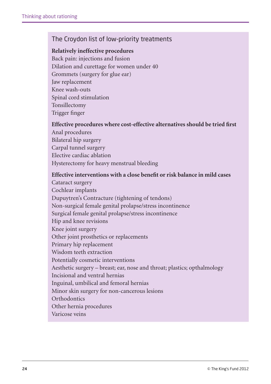#### The Croydon list of low-priority treatments

#### **Relatively ineffective procedures**

Back pain: injections and fusion Dilation and curettage for women under 40 Grommets (surgery for glue ear) Jaw replacement Knee wash-outs Spinal cord stimulation Tonsillectomy Trigger finger

#### **Effective procedures where cost-effective alternatives should be tried first**

Anal procedures Bilateral hip surgery Carpal tunnel surgery Elective cardiac ablation Hysterectomy for heavy menstrual bleeding

#### **Effective interventions with a close benefit or risk balance in mild cases**

Cataract surgery Cochlear implants Dupuytren's Contracture (tightening of tendons) Non-surgical female genital prolapse/stress incontinence Surgical female genital prolapse/stress incontinence Hip and knee revisions Knee joint surgery Other joint prosthetics or replacements Primary hip replacement Wisdom teeth extraction Potentially cosmetic interventions Aesthetic surgery – breast; ear, nose and throat; plastics; opthalmology Incisional and ventral hernias Inguinal, umbilical and femoral hernias Minor skin surgery for non-cancerous lesions **Orthodontics** Other hernia procedures Varicose veins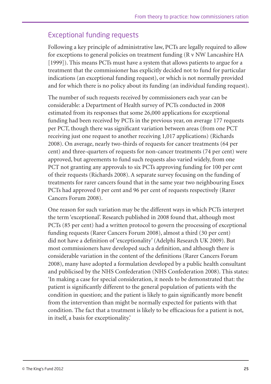## Exceptional funding requests

Following a key principle of administrative law, PCTs are legally required to allow for exceptions to general policies on treatment funding (R v NW Lancashire HA [1999]). This means PCTs must have a system that allows patients to argue for a treatment that the commissioner has explicitly decided not to fund for particular indications (an exceptional funding request), or which is not normally provided and for which there is no policy about its funding (an individual funding request).

The number of such requests received by commissioners each year can be considerable: a Department of Health survey of PCTs conducted in 2008 estimated from its responses that some 26,000 applications for exceptional funding had been received by PCTs in the previous year, on average 177 requests per PCT, though there was significant variation between areas (from one PCT receiving just one request to another receiving 1,017 applications) (Richards 2008). On average, nearly two-thirds of requests for cancer treatments (64 per cent) and three-quarters of requests for non-cancer treatments (74 per cent) were approved, but agreements to fund such requests also varied widely, from one PCT not granting any approvals to six PCTs approving funding for 100 per cent of their requests (Richards 2008). A separate survey focusing on the funding of treatments for rarer cancers found that in the same year two neighbouring Essex PCTs had approved 0 per cent and 96 per cent of requests respectively (Rarer Cancers Forum 2008).

One reason for such variation may be the different ways in which PCTs interpret the term 'exceptional'. Research published in 2008 found that, although most PCTs (85 per cent) had a written protocol to govern the processing of exceptional funding requests (Rarer Cancers Forum 2008), almost a third (30 per cent) did not have a definition of 'exceptionality' (Adelphi Research UK 2009). But most commissioners have developed such a definition, and although there is considerable variation in the content of the definitions (Rarer Cancers Forum 2008), many have adopted a formulation developed by a public health consultant and publicised by the NHS Confederation (NHS Confederation 2008). This states: 'In making a case for special consideration, it needs to be demonstrated that: the patient is significantly different to the general population of patients with the condition in question; and the patient is likely to gain significantly more benefit from the intervention than might be normally expected for patients with that condition. The fact that a treatment is likely to be efficacious for a patient is not, in itself, a basis for exceptionality.'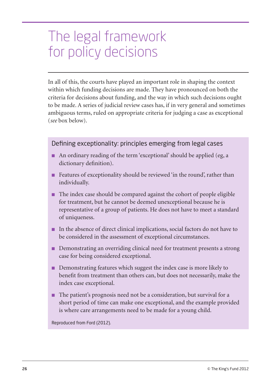## The legal framework for policy decisions

In all of this, the courts have played an important role in shaping the context within which funding decisions are made. They have pronounced on both the criteria for decisions about funding, and the way in which such decisions ought to be made. A series of judicial review cases has, if in very general and sometimes ambiguous terms, ruled on appropriate criteria for judging a case as exceptional (*see* box below).

#### Defining exceptionality: principles emerging from legal cases

- An ordinary reading of the term 'exceptional' should be applied (eg, a dictionary definition).
- Features of exceptionality should be reviewed 'in the round', rather than individually.
- The index case should be compared against the cohort of people eligible for treatment, but he cannot be deemed unexceptional because he is representative of a group of patients. He does not have to meet a standard of uniqueness.
- In the absence of direct clinical implications, social factors do not have to be considered in the assessment of exceptional circumstances.
- Demonstrating an overriding clinical need for treatment presents a strong case for being considered exceptional.
- Demonstrating features which suggest the index case is more likely to benefit from treatment than others can, but does not necessarily, make the index case exceptional.
- The patient's prognosis need not be a consideration, but survival for a short period of time can make one exceptional, and the example provided is where care arrangements need to be made for a young child.

Reproduced from Ford (2012).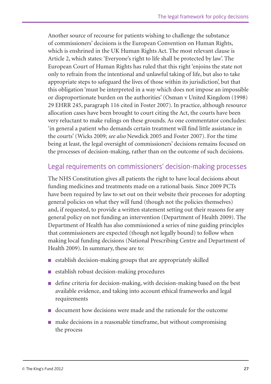Another source of recourse for patients wishing to challenge the substance of commissioners' decisions is the European Convention on Human Rights, which is enshrined in the UK Human Rights Act. The most relevant clause is Article 2, which states: 'Everyone's right to life shall be protected by law'. The European Court of Human Rights has ruled that this right 'enjoins the state not only to refrain from the intentional and unlawful taking of life, but also to take appropriate steps to safeguard the lives of those within its jurisdiction', but that this obligation 'must be interpreted in a way which does not impose an impossible or disproportionate burden on the authorities' (Osman v United Kingdom (1998) 29 EHRR 245, paragraph 116 cited in Foster 2007). In practice, although resource allocation cases have been brought to court citing the Act, the courts have been very reluctant to make rulings on these grounds. As one commentator concludes: 'in general a patient who demands certain treatment will find little assistance in the courts' (Wicks 2009; *see also* Newdick 2005 and Foster 2007). For the time being at least, the legal oversight of commissioners' decisions remains focused on the processes of decision-making, rather than on the outcome of such decisions.

### Legal requirements on commissioners' decision-making processes

The NHS Constitution gives all patients the right to have local decisions about funding medicines and treatments made on a rational basis. Since 2009 PCTs have been required by law to set out on their website their processes for adopting general policies on what they will fund (though not the policies themselves) and, if requested, to provide a written statement setting out their reasons for any general policy on not funding an intervention (Department of Health 2009). The Department of Health has also commissioned a series of nine guiding principles that commissioners are expected (though not legally bound) to follow when making local funding decisions (National Prescribing Centre and Department of Health 2009). In summary, these are to:

- $\blacksquare$  establish decision-making groups that are appropriately skilled
- establish robust decision-making procedures
- define criteria for decision-making, with decision-making based on the best available evidence, and taking into account ethical frameworks and legal requirements
- document how decisions were made and the rationale for the outcome
- make decisions in a reasonable timeframe, but without compromising the process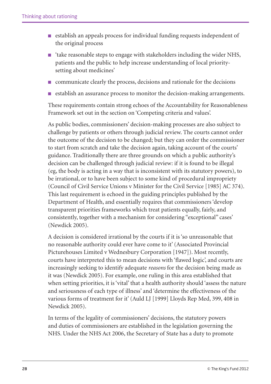- establish an appeals process for individual funding requests independent of the original process
- 'take reasonable steps to engage with stakeholders including the wider NHS, patients and the public to help increase understanding of local prioritysetting about medicines'
- communicate clearly the process, decisions and rationale for the decisions
- establish an assurance process to monitor the decision-making arrangements.

These requirements contain strong echoes of the Accountability for Reasonableness Framework set out in the section on 'Competing criteria and values'.

As public bodies, commissioners' decision-making processes are also subject to challenge by patients or others through judicial review. The courts cannot order the outcome of the decision to be changed; but they can order the commissioner to start from scratch and take the decision again, taking account of the courts' guidance. Traditionally there are three grounds on which a public authority's decision can be challenged through judicial review: if it is found to be illegal (eg, the body is acting in a way that is inconsistent with its statutory powers), to be irrational, or to have been subject to some kind of procedural impropriety (Council of Civil Service Unions v Minister for the Civil Service [1985] AC 374). This last requirement is echoed in the guiding principles published by the Department of Health, and essentially requires that commissioners 'develop transparent priorities frameworks which treat patients equally, fairly, and consistently, together with a mechanism for considering "exceptional" cases' (Newdick 2005).

A decision is considered irrational by the courts if it is 'so unreasonable that no reasonable authority could ever have come to it' (Associated Provincial Picturehouses Limited v Wednesbury Corporation [1947]). Most recently, courts have interpreted this to mean decisions with 'flawed logic', and courts are increasingly seeking to identify adequate *reasons* for the decision being made as it was (Newdick 2005). For example, one ruling in this area established that when setting priorities, it is 'vital' that a health authority should 'assess the nature and seriousness of each type of illness' and 'determine the effectiveness of the various forms of treatment for it' (Auld LJ [1999] Lloyds Rep Med, 399, 408 in Newdick 2005).

In terms of the legality of commissioners' decisions, the statutory powers and duties of commissioners are established in the legislation governing the NHS. Under the NHS Act 2006, the Secretary of State has a duty to promote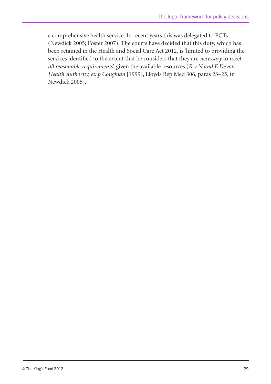a comprehensive health service. In recent years this was delegated to PCTs (Newdick 2005; Foster 2007). The courts have decided that this duty, which has been retained in the Health and Social Care Act 2012, is 'limited to providing the services identified to the extent that he considers that they are *necessary* to meet *all reasonable requirements*', given the available resources (*R v N and E Devon Health Authority, ex p Coughlan* [1999], Lloyds Rep Med 306, paras 23–25, in Newdick 2005).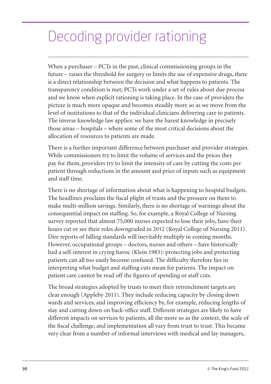# Decoding provider rationing

When a purchaser – PCTs in the past, clinical commissioning groups in the future – raises the threshold for surgery or limits the use of expensive drugs, there is a direct relationship between the decision and what happens to patients. The transparency condition is met; PCTs work under a set of rules about due process and we know when explicit rationing is taking place. In the case of providers the picture is much more opaque and becomes steadily more so as we move from the level of institutions to that of the individual clinicians delivering care to patients. The inverse knowledge law applies: we have the barest knowledge in precisely those areas – hospitals – where some of the most critical decisions about the allocation of resources to patients are made.

There is a further important difference between purchaser and provider strategies. While commissioners try to limit the volume of services and the prices they pay for them, providers try to limit the intensity of care by cutting the costs per patient through reductions in the amount and price of inputs such as equipment and staff time.

There is no shortage of information about what is happening to hospital budgets. The headlines proclaim the fiscal plight of trusts and the pressure on them to make multi-million savings. Similarly, there is no shortage of warnings about the consequential impact on staffing. So, for example, a Royal College of Nursing survey reported that almost 75,000 nurses expected to lose their jobs, have their hours cut or see their roles downgraded in 2012 (Royal College of Nursing 2011). Dire reports of falling standards will inevitably multiply in coming months. However, occupational groups – doctors, nurses and others – have historically had a self-interest in crying havoc (Klein 1983): protecting jobs and protecting patients can all too easily become confused. The difficulty therefore lies in interpreting what budget and staffing cuts mean for patients. The impact on patient care cannot be read off the figures of spending or staff cuts.

The broad strategies adopted by trusts to meet their retrenchment targets are clear enough (Appleby 2011). They include reducing capacity by closing down wards and services; and improving efficiency by, for example, reducing lengths of stay and cutting down on back-office staff. Different strategies are likely to have different impacts on services to patients, all the more so as the context, the scale of the fiscal challenge, and implementation all vary from trust to trust. This became very clear from a number of informal interviews with medical and lay managers,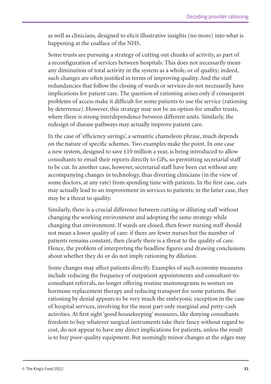as well as clinicians, designed to elicit illustrative insights (no more) into what is happening at the coalface of the NHS.

Some trusts are pursuing a strategy of cutting out chunks of activity, as part of a reconfiguration of services between hospitals. This does not necessarily mean any diminution of total activity in the system as a whole, or of quality; indeed, such changes are often justified in terms of improving quality. And the staff redundancies that follow the closing of wards or services do not necessarily have implications for patient care. The question of rationing arises only if consequent problems of access make it difficult for some patients to use the service (rationing by deterrence). However, this strategy may not be an option for smaller trusts, where there is strong interdependence between different units. Similarly, the redesign of disease pathways may actually improve patient care.

In the case of 'efficiency savings', a semantic chameleon phrase, much depends on the nature of specific schemes. Two examples make the point. In one case a new system, designed to save £10 million a year, is being introduced to allow consultants to email their reports directly to GPs, so permitting secretarial staff to be cut. In another case, however, secretarial staff have been cut without any accompanying changes in technology, thus diverting clinicians (in the view of some doctors, at any rate) from spending time with patients. In the first case, cuts may actually lead to an improvement in services to patients; in the latter case, they may be a threat to quality.

Similarly, there is a crucial difference between cutting or diluting staff without changing the working environment and adopting the same strategy while changing that environment. If wards are closed, then fewer nursing staff should not mean a lower quality of care: if there are fewer nurses but the number of patients remains constant, then clearly there is a threat to the quality of care. Hence, the problem of interpreting the headline figures and drawing conclusions about whether they do or do not imply rationing by dilution.

Some changes may affect patients directly. Examples of such economy measures include reducing the frequency of outpatient appointments and consultant-toconsultant referrals, no longer offering routine mammograms to women on hormone replacement therapy and reducing transport for some patients. But rationing by denial appears to be very much the embryonic exception in the case of hospital services, involving for the most part only marginal and petty-cash activities. At first sight 'good housekeeping' measures, like denying consultants freedom to buy whatever surgical instruments take their fancy without regard to cost, do not appear to have any direct implications for patients, unless the result is to buy poor-quality equipment. But seemingly minor changes at the edges may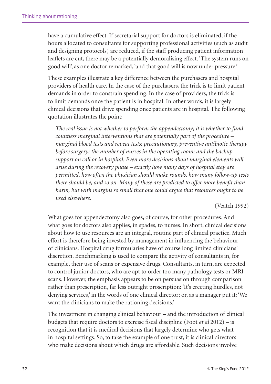have a cumulative effect. If secretarial support for doctors is eliminated, if the hours allocated to consultants for supporting professional activities (such as audit and designing protocols) are reduced, if the staff producing patient information leaflets are cut, there may be a potentially demoralising effect. 'The system runs on good will', as one doctor remarked, 'and that good will is now under pressure.'

These examples illustrate a key difference between the purchasers and hospital providers of health care. In the case of the purchasers, the trick is to limit patient demands in order to constrain spending. In the case of providers, the trick is to limit demands once the patient is in hospital. In other words, it is largely clinical decisions that drive spending once patients are in hospital. The following quotation illustrates the point:

*The real issue is not whether to perform the appendectomy; it is whether to fund countless marginal interventions that are potentially part of the procedure – marginal blood tests and repeat tests; precautionary, preventive antibiotic therapy before surgery; the number of nurses in the operating room; and the backup support on call or in hospital. Even more decisions about marginal elements will arise during the recovery phase – exactly how many days of hospital stay are permitted, how often the physician should make rounds, how many follow-up tests there should be, and so on. Many of these are predicted to offer more benefit than harm, but with margins so small that one could argue that resources ought to be used elsewhere.* 

#### (Veatch 1992)

What goes for appendectomy also goes, of course, for other procedures. And what goes for doctors also applies, in spades, to nurses. In short, clinical decisions about how to use resources are an integral, routine part of clinical practice. Much effort is therefore being invested by management in influencing the behaviour of clinicians. Hospital drug formularies have of course long limited clinicians' discretion. Benchmarking is used to compare the activity of consultants in, for example, their use of scans or expensive drugs. Consultants, in turn, are expected to control junior doctors, who are apt to order too many pathology tests or MRI scans. However, the emphasis appears to be on persuasion through comparison rather than prescription, far less outright proscription: 'It's erecting hurdles, not denying services,' in the words of one clinical director; or, as a manager put it: 'We want the clinicians to make the rationing decisions.'

The investment in changing clinical behaviour – and the introduction of clinical budgets that require doctors to exercise fiscal discipline (Foot *et al* 2012) – is recognition that it is medical decisions that largely determine who gets what in hospital settings. So, to take the example of one trust, it is clinical directors who make decisions about which drugs are affordable. Such decisions involve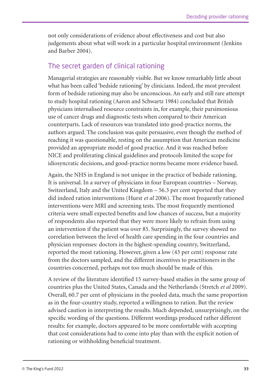not only considerations of evidence about effectiveness and cost but also judgements about what will work in a particular hospital environment (Jenkins and Barber 2004).

### The secret garden of clinical rationing

Managerial strategies are reasonably visible. But we know remarkably little about what has been called 'bedside rationing' by clinicians. Indeed, the most prevalent form of bedside rationing may also be unconscious. An early and still rare attempt to study hospital rationing (Aaron and Schwartz 1984) concluded that British physicians internalised resource constraints in, for example, their parsimonious use of cancer drugs and diagnostic tests when compared to their American counterparts. Lack of resources was translated into good-practice norms, the authors argued. The conclusion was quite persuasive, even though the method of reaching it was questionable, resting on the assumption that American medicine provided an appropriate model of good practice. And it was reached before NICE and proliferating clinical guidelines and protocols limited the scope for idiosyncratic decisions, and good-practice norms became more evidence based.

Again, the NHS in England is not unique in the practice of bedside rationing. It is universal. In a survey of physicians in four European countries – Norway, Switzerland, Italy and the United Kingdom – 56.3 per cent reported that they did indeed ration interventions (Hurst *et al* 2006). The most frequently rationed interventions were MRI and screening tests. The most frequently mentioned criteria were small expected benefits and low chances of success, but a majority of respondents also reported that they were more likely to refrain from using an intervention if the patient was over 85. Surprisingly, the survey showed no correlation between the level of health care spending in the four countries and physician responses: doctors in the highest-spending country, Switzerland, reported the most rationing. However, given a low (43 per cent) response rate from the doctors sampled, and the different incentives to practitioners in the countries concerned, perhaps not too much should be made of this.

A review of the literature identified 15 survey-based studies in the same group of countries plus the United States, Canada and the Netherlands (Stretch *et al* 2009). Overall, 60.7 per cent of physicians in the pooled data, much the same proportion as in the four-country study, reported a willingness to ration. But the review advised caution in interpreting the results. Much depended, unsurprisingly, on the specific wording of the questions. Different wordings produced rather different results: for example, doctors appeared to be more comfortable with accepting that cost considerations had to come into play than with the explicit notion of rationing or withholding beneficial treatment.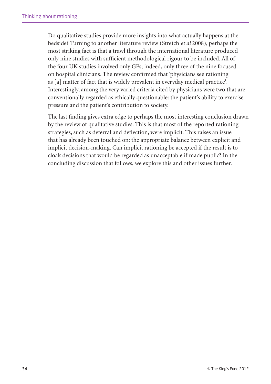Do qualitative studies provide more insights into what actually happens at the bedside? Turning to another literature review (Stretch *et al* 2008), perhaps the most striking fact is that a trawl through the international literature produced only nine studies with sufficient methodological rigour to be included. All of the four UK studies involved only GPs; indeed, only three of the nine focused on hospital clinicians. The review confirmed that 'physicians see rationing as [a] matter of fact that is widely prevalent in everyday medical practice'. Interestingly, among the very varied criteria cited by physicians were two that are conventionally regarded as ethically questionable: the patient's ability to exercise pressure and the patient's contribution to society.

The last finding gives extra edge to perhaps the most interesting conclusion drawn by the review of qualitative studies. This is that most of the reported rationing strategies, such as deferral and deflection, were implicit. This raises an issue that has already been touched on: the appropriate balance between explicit and implicit decision-making. Can implicit rationing be accepted if the result is to cloak decisions that would be regarded as unacceptable if made public? In the concluding discussion that follows, we explore this and other issues further.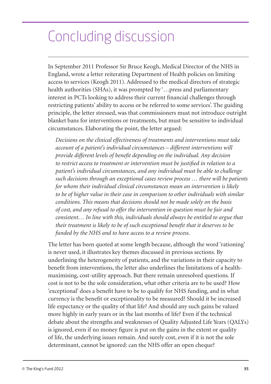# Concluding discussion

In September 2011 Professor Sir Bruce Keogh, Medical Director of the NHS in England, wrote a letter reiterating Department of Health policies on limiting access to services (Keogh 2011). Addressed to the medical directors of strategic health authorities (SHAs), it was prompted by '…press and parliamentary interest in PCTs looking to address their current financial challenges through restricting patients' ability to access or be referred to some services'. The guiding principle, the letter stressed, was that commissioners must not introduce outright blanket bans for interventions or treatments, but must be sensitive to individual circumstances. Elaborating the point, the letter argued:

*Decisions on the clinical effectiveness of treatments and interventions must take account of a patient's individual circumstances – different interventions will provide different levels of benefit depending on the individual. Any decision to restrict access to treatment or intervention must be justified in relation to a patient's individual circumstances, and any individual must be able to challenge such decisions through an exceptional cases review process … there will be patients for whom their individual clinical circumstances mean an intervention is likely to be of higher value in their case in comparison to other individuals with similar conditions. This means that decisions should not be made solely on the basis of cost, and any refusal to offer the intervention in question must be fair and consistent… In line with this, individuals should always be entitled to argue that their treatment is likely to be of such exceptional benefit that it deserves to be funded by the NHS and to have access to a review process.*

The letter has been quoted at some length because, although the word 'rationing' is never used, it illustrates key themes discussed in previous sections. By underlining the heterogeneity of patients, and the variations in their capacity to benefit from interventions, the letter also underlines the limitations of a healthmaximising, cost-utility approach. But there remain unresolved questions. If cost is not to be the sole consideration, what other criteria are to be used? How 'exceptional' does a benefit have to be to qualify for NHS funding, and in what currency is the benefit or exceptionality to be measured? Should it be increased life expectancy or the quality of that life? And should any such gains be valued more highly in early years or in the last months of life? Even if the technical debate about the strengths and weaknesses of Quality Adjusted Life Years (QALYs) is ignored, even if no money figure is put on the gains in the extent or quality of life, the underlying issues remain. And surely cost, even if it is not the sole determinant, cannot be ignored: can the NHS offer an open cheque?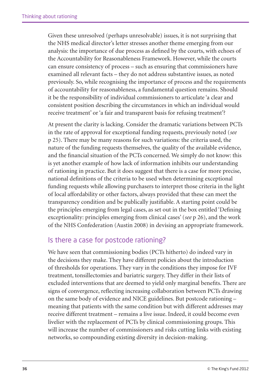Given these unresolved (perhaps unresolvable) issues, it is not surprising that the NHS medical director's letter stresses another theme emerging from our analysis: the importance of due process as defined by the courts, with echoes of the Accountability for Reasonableness Framework. However, while the courts can ensure consistency of process – such as ensuring that commissioners have examined all relevant facts – they do not address substantive issues, as noted previously. So, while recognising the importance of process and the requirements of accountability for reasonableness, a fundamental question remains. Should it be the responsibility of individual commissioners to articulate 'a clear and consistent position describing the circumstances in which an individual would receive treatment' or 'a fair and transparent basis for refusing treatment'?

At present the clarity is lacking. Consider the dramatic variations between PCTs in the rate of approval for exceptional funding requests, previously noted (*see* p 25). There may be many reasons for such variations: the criteria used, the nature of the funding requests themselves, the quality of the available evidence, and the financial situation of the PCTs concerned. We simply do not know: this is yet another example of how lack of information inhibits our understanding of rationing in practice. But it does suggest that there is a case for more precise, national definitions of the criteria to be used when determining exceptional funding requests while allowing purchasers to interpret those criteria in the light of local affordability or other factors, always provided that these can meet the transparency condition and be publically justifiable. A starting point could be the principles emerging from legal cases, as set out in the box entitled 'Defining exceptionality: principles emerging from clinical cases' (*see* p 26), and the work of the NHS Confederation (Austin 2008) in devising an appropriate framework.

### Is there a case for postcode rationing?

We have seen that commissioning bodies (PCTs hitherto) do indeed vary in the decisions they make. They have different policies about the introduction of thresholds for operations. They vary in the conditions they impose for IVF treatment, tonsillectomies and bariatric surgery. They differ in their lists of excluded interventions that are deemed to yield only marginal benefits. There are signs of convergence, reflecting increasing collaboration between PCTs drawing on the same body of evidence and NICE guidelines. But postcode rationing – meaning that patients with the same condition but with different addresses may receive different treatment – remains a live issue. Indeed, it could become even livelier with the replacement of PCTs by clinical commissioning groups. This will increase the number of commissioners and risks cutting links with existing networks, so compounding existing diversity in decision-making.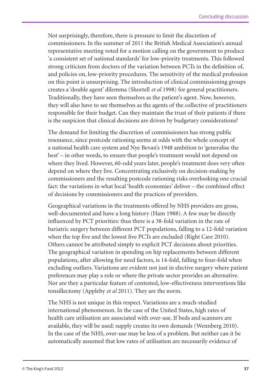Not surprisingly, therefore, there is pressure to limit the discretion of commissioners. In the summer of 2011 the British Medical Association's annual representative meeting voted for a motion calling on the government to produce 'a consistent set of national standards' for low-priority treatments. This followed strong criticism from doctors of the variation between PCTs in the definition of, and policies on, low-priority procedures. The sensitivity of the medical profession on this point is unsurprising. The introduction of clinical commissioning groups creates a 'double agent' dilemma (Shortell *et al* 1998) for general practitioners. Traditionally, they have seen themselves as the patient's agent. Now, however, they will also have to see themselves as the agents of the collective of practitioners responsible for their budget. Can they maintain the trust of their patients if there is the suspicion that clinical decisions are driven by budgetary considerations?

The demand for limiting the discretion of commissioners has strong public resonance, since postcode rationing seems at odds with the whole concept of a national health care system and Nye Bevan's 1948 ambition to 'generalise the best' – in other words, to ensure that people's treatment would not depend on where they lived. However, 60-odd years later, people's treatment does very often depend on where they live. Concentrating exclusively on decision-making by commissioners and the resulting postcode rationing risks overlooking one crucial fact: the variations in what local 'health economies' deliver – the combined effect of decisions by commissioners and the practices of providers.

Geographical variations in the treatments offered by NHS providers are gross, well-documented and have a long history (Ham 1988). A few may be directly influenced by PCT priorities: thus there is a 38-fold variation in the rate of bariatric surgery between different PCT populations, falling to a 12-fold variation when the top five and the lowest five PCTs are excluded (Right Care 2010). Others cannot be attributed simply to explicit PCT decisions about priorities. The geographical variation in spending on hip replacements between different populations, after allowing for need factors, is 14-fold, falling to four-fold when excluding outliers. Variations are evident not just in elective surgery where patient preferences may play a role or where the private sector provides an alternative. Nor are they a particular feature of contested, low-effectiveness interventions like tonsillectomy (Appleby *et al* 2011). They are the norm.

The NHS is not unique in this respect. Variations are a much-studied international phenomenon. In the case of the United States, high rates of health care utilisation are associated with over-use. If beds and scanners are available, they will be used: supply creates its own demands (Wennberg 2010). In the case of the NHS, over-use may be less of a problem. But neither can it be automatically assumed that low rates of utilisation are necessarily evidence of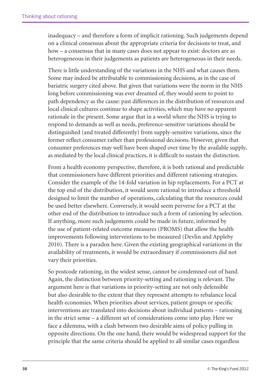inadequacy – and therefore a form of implicit rationing. Such judgements depend on a clinical consensus about the appropriate criteria for decisions to treat, and how – a consensus that in many cases does not appear to exist: doctors are as heterogeneous in their judgements as patients are heterogeneous in their needs.

There is little understanding of the variations in the NHS and what causes them. Some may indeed be attributable to commissioning decisions, as in the case of bariatric surgery cited above. But given that variations were the norm in the NHS long before commissioning was ever dreamed of, they would seem to point to path dependency as the cause: past differences in the distribution of resources and local clinical cultures continue to shape activities, which may have no apparent rationale in the present. Some argue that in a world where the NHS is trying to respond to demands as well as needs, preference-sensitive variations should be distinguished (and treated differently) from supply-sensitive variations, since the former reflect consumer rather than professional decisions. However, given that consumer preferences may well have been shaped over time by the available supply, as mediated by the local clinical practices, it is difficult to sustain the distinction.

From a health economy perspective, therefore, it is both rational and predictable that commissioners have different priorities and different rationing strategies. Consider the example of the 14-fold variation in hip replacements. For a PCT at the top end of the distribution, it would seem rational to introduce a threshold designed to limit the number of operations, calculating that the resources could be used better elsewhere. Conversely, it would seem perverse for a PCT at the other end of the distribution to introduce such a form of rationing by selection. If anything, more such judgements could be made in future, informed by the use of patient-related outcome measures (PROMS) that allow the health improvements following interventions to be measured (Devlin and Appleby 2010). There is a paradox here. Given the existing geographical variations in the availability of treatments, it would be extraordinary if commissioners did not vary their priorities.

So postcode rationing, in the widest sense, cannot be condemned out of hand. Again, the distinction between priority-setting and rationing is relevant. The argument here is that variations in priority-setting are not only defensible but also desirable to the extent that they represent attempts to rebalance local health economies. When priorities about services, patient groups or specific interventions are translated into decisions about individual patients – rationing in the strict sense – a different set of considerations come into play. Here we face a dilemma, with a clash between two desirable aims of policy pulling in opposite directions. On the one hand, there would be widespread support for the principle that the same criteria should be applied to all similar cases regardless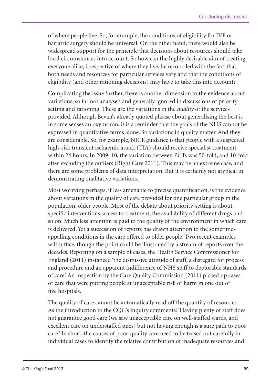of where people live. So, for example, the conditions of eligibility for IVF or bariatric surgery should be universal. On the other hand, there would also be widespread support for the principle that decisions about resources should take local circumstances into account. So how can the highly desirable aim of treating everyone alike, irrespective of where they live, be reconciled with the fact that both needs and resources for particular services vary and that the conditions of eligibility (and other rationing decisions) may have to take this into account?

Complicating the issue further, there is another dimension to the evidence about variations, so far not analysed and generally ignored in discussions of prioritysetting and rationing. These are the variations in the *quality* of the services provided. Although Bevan's already quoted phrase about generalising the best is in some senses an oxymoron, it is a reminder that the goals of the NHS cannot be expressed in quantitative terms alone. So variations in quality matter. And they are considerable. So, for example, NICE guidance is that people with a suspected high-risk transient ischaemic attack (TIA) should receive specialist treatment within 24 hours. In 2009–10, the variation between PCTs was 50-fold, and 10-fold after excluding the outliers (Right Care 2011). This may be an extreme case, and there are some problems of data interpretation. But it is certainly not atypical in demonstrating qualitative variations.

Most worrying perhaps, if less amenable to precise quantification, is the evidence about variations in the quality of care provided for one particular group in the population: older people. Most of the debate about priority-setting is about specific interventions, access to treatment, the availability of different drugs and so on. Much less attention is paid to the quality of the environment in which care is delivered. Yet a succession of reports has drawn attention to the sometimes appalling conditions in the care offered to older people. Two recent examples will suffice, though the point could be illustrated by a stream of reports over the decades. Reporting on a sample of cases, the Health Service Commissioner for England (2011) instanced 'the dismissive attitude of staff, a disregard for process and procedure and an apparent indifference of NHS staff to deplorable standards of care'. An inspection by the Care Quality Commission (2011) picked up cases of care that were putting people at unacceptable risk of harm in one out of five hospitals.

The quality of care cannot be automatically read off the quantity of resources. As the introduction to the CQC's inquiry comments: 'Having plenty of staff does not guarantee good care (we saw unacceptable care on well-staffed wards, and excellent care on understaffed ones) but not having enough is a sure path to poor care.' In short, the causes of poor-quality care need to be teased out carefully in individual cases to identify the relative contribution of inadequate resources and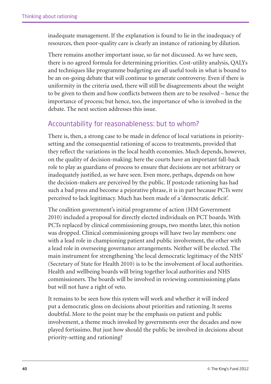inadequate management. If the explanation is found to lie in the inadequacy of resources, then poor-quality care is clearly an instance of rationing by dilution.

There remains another important issue, so far not discussed. As we have seen, there is no agreed formula for determining priorities. Cost-utility analysis, QALYs and techniques like programme budgeting are all useful tools in what is bound to be an on-going debate that will continue to generate controversy. Even if there is uniformity in the criteria used, there will still be disagreements about the weight to be given to them and how conflicts between them are to be resolved – hence the importance of process; but hence, too, the importance of who is involved in the debate. The next section addresses this issue.

### Accountability for reasonableness: but to whom?

There is, then, a strong case to be made in defence of local variations in prioritysetting and the consequential rationing of access to treatments, provided that they reflect the variations in the local health economies. Much depends, however, on the quality of decision-making; here the courts have an important fall-back role to play as guardians of process to ensure that decisions are not arbitrary or inadequately justified, as we have seen. Even more, perhaps, depends on how the decision-makers are perceived by the public. If postcode rationing has had such a bad press and become a pejorative phrase, it is in part because PCTs were perceived to lack legitimacy. Much has been made of a 'democratic deficit'.

The coalition government's initial programme of action (HM Government 2010) included a proposal for directly elected individuals on PCT boards. With PCTs replaced by clinical commissioning groups, two months later, this notion was dropped. Clinical commissioning groups will have two lay members: one with a lead role in championing patient and public involvement, the other with a lead role in overseeing governance arrangements. Neither will be elected. The main instrument for strengthening 'the local democratic legitimacy of the NHS' (Secretary of State for Health 2010) is to be the involvement of local authorities. Health and wellbeing boards will bring together local authorities and NHS commissioners. The boards will be involved in reviewing commissioning plans but will not have a right of veto.

It remains to be seen how this system will work and whether it will indeed put a democratic gloss on decisions about priorities and rationing. It seems doubtful. More to the point may be the emphasis on patient and public involvement, a theme much invoked by governments over the decades and now played fortissimo. But just how should the public be involved in decisions about priority-setting and rationing?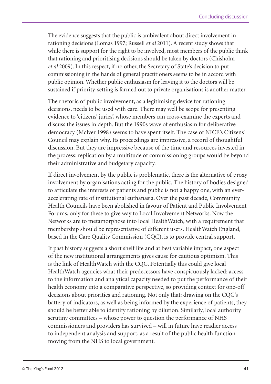The evidence suggests that the public is ambivalent about direct involvement in rationing decisions (Lomas 1997; Russell *et al* 2011). A recent study shows that while there is support for the right to be involved, most members of the public think that rationing and prioritising decisions should be taken by doctors (Chisholm *et al* 2009). In this respect, if no other, the Secretary of State's decision to put commissioning in the hands of general practitioners seems to be in accord with public opinion. Whether public enthusiasm for leaving it to the doctors will be sustained if priority-setting is farmed out to private organisations is another matter.

The rhetoric of public involvement, as a legitimising device for rationing decisions, needs to be used with care. There may well be scope for presenting evidence to 'citizens' juries', whose members can cross-examine the experts and discuss the issues in depth. But the 1990s wave of enthusiasm for deliberative democracy (McIver 1998) seems to have spent itself. The case of NICE's Citizens' Council may explain why. Its proceedings are impressive, a record of thoughtful discussion. But they are impressive because of the time and resources invested in the process: replication by a multitude of commissioning groups would be beyond their administrative and budgetary capacity.

If direct involvement by the public is problematic, there is the alternative of proxy involvement by organisations acting for the public. The history of bodies designed to articulate the interests of patients and public is not a happy one, with an everaccelerating rate of institutional euthanasia. Over the past decade, Community Health Councils have been abolished in favour of Patient and Public Involvement Forums, only for these to give way to Local Involvement Networks. Now the Networks are to metamorphose into local HealthWatch, with a requirement that membership should be representative of different users. HealthWatch England, based in the Care Quality Commission (CQC), is to provide central support.

If past history suggests a short shelf life and at best variable impact, one aspect of the new institutional arrangements gives cause for cautious optimism. This is the link of HealthWatch with the CQC. Potentially this could give local HealthWatch agencies what their predecessors have conspicuously lacked: access to the information and analytical capacity needed to put the performance of their health economy into a comparative perspective, so providing context for one-off decisions about priorities and rationing. Not only that: drawing on the CQC's battery of indicators, as well as being informed by the experience of patients, they should be better able to identify rationing by dilution. Similarly, local authority scrutiny committees – whose power to question the performance of NHS commissioners and providers has survived – will in future have readier access to independent analysis and support, as a result of the public health function moving from the NHS to local government.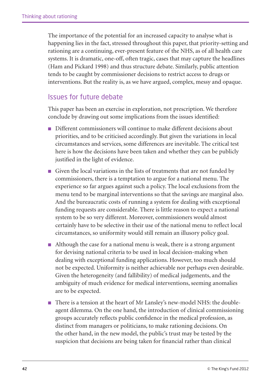The importance of the potential for an increased capacity to analyse what is happening lies in the fact, stressed throughout this paper, that priority-setting and rationing are a continuing, ever-present feature of the NHS, as of all health care systems. It is dramatic, one-off, often tragic, cases that may capture the headlines (Ham and Pickard 1998) and thus structure debate. Similarly, public attention tends to be caught by commissioner decisions to restrict access to drugs or interventions. But the reality is, as we have argued, complex, messy and opaque.

#### Issues for future debate

This paper has been an exercise in exploration, not prescription. We therefore conclude by drawing out some implications from the issues identified:

- Different commissioners will continue to make different decisions about priorities, and to be criticised accordingly. But given the variations in local circumstances and services, some differences are inevitable. The critical test here is how the decisions have been taken and whether they can be publicly justified in the light of evidence.
- Given the local variations in the lists of treatments that are not funded by commissioners, there is a temptation to argue for a national menu. The experience so far argues against such a policy. The local exclusions from the menu tend to be marginal interventions so that the savings are marginal also. And the bureaucratic costs of running a system for dealing with exceptional funding requests are considerable. There is little reason to expect a national system to be so very different. Moreover, commissioners would almost certainly have to be selective in their use of the national menu to reflect local circumstances, so uniformity would still remain an illusory policy goal.
- Although the case for a national menu is weak, there is a strong argument for devising national criteria to be used in local decision-making when dealing with exceptional funding applications. However, too much should not be expected. Uniformity is neither achievable nor perhaps even desirable. Given the heterogeneity (and fallibility) of medical judgements, and the ambiguity of much evidence for medical interventions, seeming anomalies are to be expected.
- There is a tension at the heart of Mr Lansley's new-model NHS: the doubleagent dilemma. On the one hand, the introduction of clinical commissioning groups accurately reflects public confidence in the medical profession, as distinct from managers or politicians, to make rationing decisions. On the other hand, in the new model, the public's trust may be tested by the suspicion that decisions are being taken for financial rather than clinical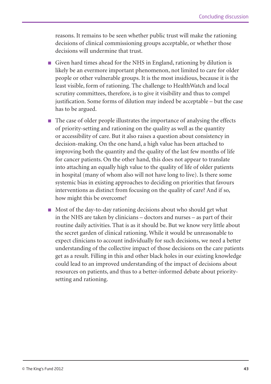reasons. It remains to be seen whether public trust will make the rationing decisions of clinical commissioning groups acceptable, or whether those decisions will undermine that trust.

- Given hard times ahead for the NHS in England, rationing by dilution is likely be an evermore important phenomenon, not limited to care for older people or other vulnerable groups. It is the most insidious, because it is the least visible, form of rationing. The challenge to HealthWatch and local scrutiny committees, therefore, is to give it visibility and thus to compel justification. Some forms of dilution may indeed be acceptable – but the case has to be argued.
- The case of older people illustrates the importance of analysing the effects of priority-setting and rationing on the quality as well as the quantity or accessibility of care. But it also raises a question about consistency in decision-making. On the one hand, a high value has been attached to improving both the quantity and the quality of the last few months of life for cancer patients. On the other hand, this does not appear to translate into attaching an equally high value to the quality of life of older patients in hospital (many of whom also will not have long to live). Is there some systemic bias in existing approaches to deciding on priorities that favours interventions as distinct from focusing on the quality of care? And if so, how might this be overcome?
- Most of the day-to-day rationing decisions about who should get what in the NHS are taken by clinicians – doctors and nurses – as part of their routine daily activities. That is as it should be. But we know very little about the secret garden of clinical rationing. While it would be unreasonable to expect clinicians to account individually for such decisions, we need a better understanding of the collective impact of those decisions on the care patients get as a result. Filling in this and other black holes in our existing knowledge could lead to an improved understanding of the impact of decisions about resources on patients, and thus to a better-informed debate about prioritysetting and rationing.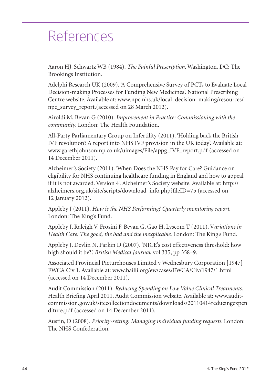## References

Aaron HJ, Schwartz WB (1984). *The Painful Prescription*. Washington, DC: The Brookings Institution.

Adelphi Research UK (2009). 'A Comprehensive Survey of PCTs to Evaluate Local Decision-making Processes for Funding New Medicines'. National Prescribing Centre website. Available at: www.npc.nhs.uk/local\_decision\_making/resources/ npc\_survey\_report.(accessed on 28 March 2012).

Airoldi M, Bevan G (2010). *Improvement in Practice: Commissioning with the community*. London: The Health Foundation.

All-Party Parliamentary Group on Infertility (2011). 'Holding back the British IVF revolution? A report into NHS IVF provision in the UK today'. Available at: www.garethjohnsonmp.co.uk/uimages/File/appg\_IVF\_report.pdf (accessed on 14 December 2011).

Alzheimer's Society (2011). 'When Does the NHS Pay for Care? Guidance on eligibility for NHS continuing healthcare funding in England and how to appeal if it is not awarded. Version 4'. Alzheimer's Society website. Available at: http:// alzheimers.org.uk/site/scripts/download\_info.php?fileID=75 (accessed on 12 January 2012).

Appleby J (2011). *How is the NHS Performing? Quarterly monitoring report*. London: The King's Fund.

Appleby J, Raleigh V, Frosini F, Bevan G, Gao H, Lyscom T (2011). V*ariations in Health Care: The good, the bad and the inexplicable*. London: The King's Fund.

Appleby J, Devlin N, Parkin D (2007). 'NICE's cost effectiveness threshold: how high should it be?'. *British Medical Journal*, vol 335, pp 358–9.

Associated Provincial Picturehouses Limited v Wednesbury Corporation [1947] EWCA Civ 1. Available at: www.bailii.org/ew/cases/EWCA/Civ/1947/1.html (accessed on 14 December 2011).

Audit Commission (2011). *Reducing Spending on Low Value Clinical Treatments*. Health Briefing April 2011. Audit Commission website. Available at: www.auditcommission.gov.uk/sitecollectiondocuments/downloads/20110414reducingexpen diture.pdf (accessed on 14 December 2011).

Austin, D (2008). *Priority-setting: Managing individual funding requests*. London: The NHS Confederation.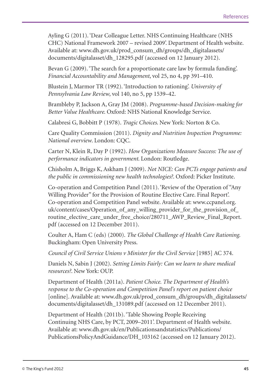Ayling G (2011). 'Dear Colleague Letter. NHS Continuing Healthcare (NHS CHC) National Framework 2007 – revised 2009'. Department of Health website. Available at: www.dh.gov.uk/prod\_consum\_dh/groups/dh\_digitalassets/ documents/digitalasset/dh\_128295.pdf (accessed on 12 January 2012).

Bevan G (2009). 'The search for a proportionate care law by formula funding'. *Financial Accountability and Management*, vol 25, no 4, pp 391–410.

Blustein J, Marmor TR (1992). 'Introduction to rationing'. *University of Pennsylvania Law Review*, vol 140, no 5, pp 1539–42.

Brambleby P, Jackson A, Gray JM (2008). *Programme-based Decision-making for Better Value Healthcare*. Oxford: NHS National Knowledge Service.

Calabresi G, Bobbitt P (1978). *Tragic Choices*. New York: Norton & Co.

Care Quality Commission (2011). *Dignity and Nutrition Inspection Programme: National overview*. London: CQC.

Carter N, Klein R, Day P (1992). *How Organizations Measure Success: The use of performance indicators in government*. London: Routledge.

Chisholm A, Briggs K, Askham J (2009). *Not NICE: Can PCTs engage patients and the public in commissioning new health technologies?*. Oxford: Picker Institute.

Co-operation and Competition Panel (2011). 'Review of the Operation of "Any Willing Provider" for the Provision of Routine Elective Care. Final Report'. Co-operation and Competition Panel website. Available at: www.ccpanel.org. uk/content/cases/Operation\_of\_any\_willing\_provider\_for\_the\_provision\_of routine\_elective\_care\_under\_free\_choice/280711\_AWP\_Review\_Final\_Report. pdf (accessed on 12 December 2011).

Coulter A, Ham C (eds) (2000). *The Global Challenge of Health Care Rationing*. Buckingham: Open University Press.

*Council of Civil Service Unions v Minister for the Civil Service* [1985] AC 374.

Daniels N, Sabin J (2002). *Setting Limits Fairly: Can we learn to share medical resources?*. New York: OUP.

Department of Health (2011a). *Patient Choice. The Department of Health's response to the Co-operation and Competition Panel's report on patient choice* [online]. Available at: www.dh.gov.uk/prod\_consum\_dh/groups/dh\_digitalassets/ documents/digitalasset/dh\_131089.pdf (accessed on 12 December 2011).

Department of Health (2011b). 'Table Showing People Receiving Continuing NHS Care, by PCT, 2009–2011'. Department of Health website. Available at: www.dh.gov.uk/en/Publicationsandstatistics/Publications/ PublicationsPolicyAndGuidance/DH\_103162 (accessed on 12 January 2012).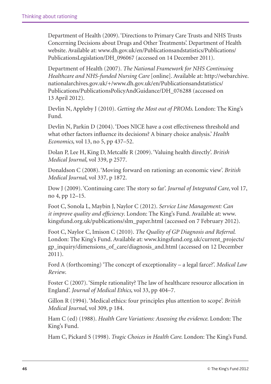Department of Health (2009). 'Directions to Primary Care Trusts and NHS Trusts Concerning Decisions about Drugs and Other Treatments'. Department of Health website. Available at: www.dh.gov.uk/en/Publicationsandstatistics/Publications/ PublicationsLegislation/DH\_096067 (accessed on 14 December 2011).

Department of Health (2007). *The National Framework for NHS Continuing Healthcare and NHS-funded Nursing Care* [online]. Available at: http://webarchive. nationalarchives.gov.uk/+/www.dh.gov.uk/en/Publicationsandstatistics/ Publications/PublicationsPolicyAndGuidance/DH\_076288 (accessed on 13 April 2012).

Devlin N, Appleby J (2010). *Getting the Most out of PROMs*. London: The King's Fund.

Devlin N, Parkin D (2004). 'Does NICE have a cost effectiveness threshold and what other factors influence its decisions? A binary choice analysis.' *Health Economics*, vol 13, no 5, pp 437–52.

Dolan P, Lee H, King D, Metcalfe R (2009). 'Valuing health directly'. *British Medical Journal*, vol 339, p 2577.

Donaldson C (2008). 'Moving forward on rationing: an economic view'. *British Medical Journal*, vol 337, p 1872.

Dow J (2009). 'Continuing care: The story so far'. *Journal of Integrated Care*, vol 17, no 4, pp 12–15.

Foot C, Sonola L, Maybin J, Naylor C (2012). *Service Line Management: Can it improve quality and efficiency*. London: The King's Fund. Available at: www. kingsfund.org.uk/publications/slm\_paper.html (accessed on 7 February 2012).

Foot C, Naylor C, Imison C (2010). *The Quality of GP Diagnosis and Referral*. London: The King's Fund. Available at: www.kingsfund.org.uk/current\_projects/ gp\_inquiry/dimensions\_of\_care/diagnosis\_and.html (accessed on 12 December 2011).

Ford A (forthcoming) 'The concept of exceptionality – a legal farce?'. *Medical Law Review*.

Foster C (2007). 'Simple rationality? The law of healthcare resource allocation in England'. *Journal of Medical Ethics*, vol 33, pp 404–7.

Gillon R (1994). 'Medical ethics: four principles plus attention to scope'. *British Medical Journal*, vol 309, p 184.

Ham C (ed) (1988). *Health Care Variations: Assessing the evidence*. London: The King's Fund.

Ham C, Pickard S (1998). *Tragic Choices in Health Care*. London: The King's Fund.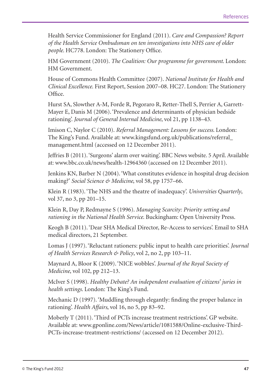Health Service Commissioner for England (2011). *Care and Compassion? Report of the Health Service Ombudsman on ten investigations into NHS care of older people*. HC778. London: The Stationery Office.

HM Government (2010). *The Coalition: Our programme for government*. London: HM Government.

House of Commons Health Committee (2007). *National Institute for Health and Clinical Excellence*. First Report, Session 2007–08. HC27. London: The Stationery Office.

Hurst SA, Slowther A-M, Forde R, Pegoraro R, Retter-Thell S, Perrier A, Garrett-Mayer E, Danis M (2006). 'Prevalence and determinants of physician bedside rationing'. *Journal of General Internal Medicine*, vol 21, pp 1138–43.

Imison C, Naylor C (2010). *Referral Management: Lessons for success*. London: The King's Fund. Available at: www.kingsfund.org.uk/publications/referral\_ management.html (accessed on 12 December 2011).

Jeffries B (2011). 'Surgeons' alarm over waiting'. BBC News website. 5 April. Available at: www.bbc.co.uk/news/health-12964360 (accessed on 12 December 2011).

Jenkins KN, Barber N (2004). 'What constitutes evidence in hospital drug decision making?' *Social Science & Medicine*, vol 58, pp 1757–66.

Klein R (1983). 'The NHS and the theatre of inadequacy'. *Universities Quarterly*, vol 37, no 3, pp 201–15.

Klein R, Day P, Redmayne S (1996). *Managing Scarcity: Priority setting and rationing in the National Health Service*. Buckingham: Open University Press.

Keogh B (2011). 'Dear SHA Medical Director, Re-Access to services'. Email to SHA medical directors, 21 September.

Lomas J (1997). 'Reluctant rationers: public input to health care priorities'. *Journal of Health Services Research & Policy*, vol 2, no 2, pp 103–11.

Maynard A, Bloor K (2009). 'NICE wobbles'. *Journal of the Royal Society of Medicine*, vol 102, pp 212–13.

McIver S (1998). *Healthy Debate? An independent evaluation of citizens' juries in health settings*. London: The King's Fund.

Mechanic D (1997). 'Muddling through elegantly: finding the proper balance in rationing'. *Health Affairs*, vol 16, no 5, pp 83–92.

Moberly T (2011). 'Third of PCTs increase treatment restrictions'. GP website. Available at: www.gponline.com/News/article/1081588/Online-exclusive-Third-PCTs-increase-treatment-restrictions/ (accessed on 12 December 2012).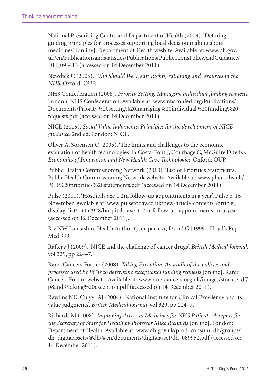National Prescribing Centre and Department of Health (2009). 'Defining guiding principles for processes supporting local decision making about medicines' [online]. Department of Health wesbite. Available at: www.dh.gov. uk/en/Publicationsandstatistics/Publications/PublicationsPolicyAndGuidance/ DH 093413 (accessed on 14 December 2011).

Newdick C (2005). *Who Should We Treat? Rights, rationing and resources in the NHS*. Oxford: OUP.

NHS Confederation (2008). *Priority Setting: Managing individual funding requests*. London: NHS Confederation. Available at: www.nhsconfed.org/Publications/ Documents/Priority%20setting%20managing%20individual%20funding%20 requests.pdf (accessed on 14 December 2011).

NICE (2009). *Social Value Judgments: Principles for the development of NICE guidance*. 2nd ed. London: NICE.

Oliver A, Sorensen C (2005). 'The limits and challenges to the economic evaluation of health technologies' in Costa-Font J, Courbage C, McGuire D (eds), *Economics of Innovation and New Health Care Technologies*. Oxford: OUP.

Public Health Commissioning Network (2010). 'List of Priorities Statements'. Public Health Commissioning Network website. Available at: www.phcn.nhs.uk/ PCT%20priorities%20statements.pdf (accessed on 14 December 2011).

Pulse (2011). 'Hospitals axe 1.2m follow-up appointments in a year'. Pulse e, 16 November. Available at: www.pulsetoday.co.uk/newsarticle-content/-/article\_ display\_list/13052928/hospitals-axe-1-2m-follow-up-appointments-in-a-year (accessed on 12 December 2011).

R v NW Lancashire Health Authority, ex parte A, D and G [1999]. Lloyd's Rep Med 399.

Raftery J (2009). 'NICE and the challenge of cancer drugs'. *British Medical Journal*, vol 329, pp 224–7.

Rarer Cancers Forum (2008). *Taking Exception. An audit of the policies and processes used by PCTs to determine exceptional funding requests* [online]. Rarer Cancers Forum website. Available at: www.rarercancers.org.uk/images/stories/cdf/ p8and9/taking%20exception.pdf (accessed on 14 December 2011).

Rawlins ND, Culyer AJ (2004). 'National Institute for Clinical Excellence and its value judgments'. *British Medical Journal*, vol 329, pp 224–7.

Richards M (2008). *Improving Access to Medicines for NHS Patients: A report for the Secretary of State for Health by Professor Mike Richards* [online]. London: Department of Health. Available at: www.dh.gov.uk/prod\_consum\_dh/groups/ dh\_digitalassets/@dh/@en/documents/digitalasset/dh\_089952.pdf (accessed on 14 December 2011).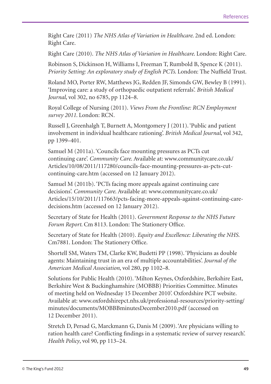Right Care (2011) *The NHS Atlas of Variation in Healthcare*. 2nd ed. London: Right Care.

Right Care (2010). *The NHS Atlas of Variation in Healthcare*. London: Right Care.

Robinson S, Dickinson H, Williams I, Freeman T, Rumbold B, Spence K (2011). *Priority Setting: An exploratory study of English PCTs*. London: The Nuffield Trust.

Roland MO, Porter RW, Matthews JG, Redden JF, Simonds GW, Bewley B (1991). 'Improving care: a study of orthopaedic outpatient referrals'. *British Medical Journal*, vol 302, no 6785, pp 1124–8.

Royal College of Nursing (2011). *Views From the Frontline: RCN Employment survey 2011*. London: RCN.

Russell J, Greenhalgh T, Burnett A, Montgomery J (2011). 'Public and patient involvement in individual healthcare rationing'. *British Medical Journal*, vol 342, pp 1399–401.

Samuel M (2011a). 'Councils face mounting pressures as PCTs cut continuing care'. *Community Care*. Available at: www.communitycare.co.uk/ Articles/10/08/2011/117280/councils-face-mounting-pressures-as-pcts-cutcontinuing-care.htm (accessed on 12 January 2012).

Samuel M (2011b). 'PCTs facing more appeals against continuing care decisions'. *Community Care*. Available at: www.communitycare.co.uk/ Articles/15/10/2011/117663/pcts-facing-more-appeals-against-continuing-caredecisions.htm (accessed on 12 January 2012).

Secretary of State for Health (2011). *Government Response to the NHS Future Forum Report*. Cm 8113. London: The Stationery Office.

Secretary of State for Health (2010). *Equity and Excellence: Liberating the NHS*. Cm7881. London: The Stationery Office.

Shortell SM, Waters TM, Clarke KW, Budetti PP (1998). 'Physicians as double agents: Maintaining trust in an era of multiple accountabilities'. *Journal of the American Medical Association*, vol 280, pp 1102–8.

Solutions for Public Health (2010). 'Milton Keynes, Oxfordshire, Berkshire East, Berkshire West & Buckinghamshire (MOBBB) Priorities Committee. Minutes of meeting held on Wednesday 15 December 2010'. Oxfordshire PCT website. Available at: www.oxfordshirepct.nhs.uk/professional-resources/priority-setting/ minutes/documents/MOBBBminutesDecember2010.pdf (accessed on 12 December 2011).

Stretch D, Persad G, Marckmann G, Danis M (2009). 'Are physicians willing to ration health care? Conflicting findings in a systematic review of survey research'. *Health Policy*, vol 90, pp 113–24.